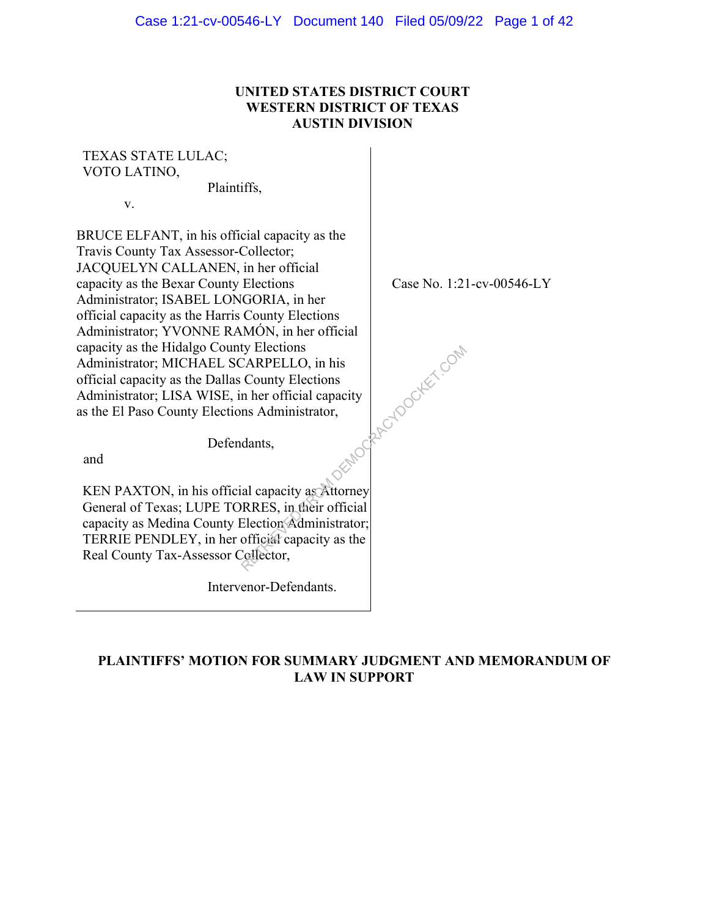## **UNITED STATES DISTRICT COURT WESTERN DISTRICT OF TEXAS AUSTIN DIVISION**

# TEXAS STATE LULAC; VOTO LATINO,

Plaintiffs,

v.

BRUCE ELFANT, in his official capacity as the Travis County Tax Assessor-Collector; JACQUELYN CALLANEN, in her official capacity as the Bexar County Elections Administrator; ISABEL LONGORIA, in her official capacity as the Harris County Elections Administrator; YVONNE RAMÓN, in her official capacity as the Hidalgo County Elections Administrator; MICHAEL SCARPELLO, in his official capacity as the Dallas County Elections Administrator; LISA WISE, in her official capacity as the El Paso County Elections Administrator,

Case No. 1:21-cv-00546-LY

Defendants,

and

KEN PAXTON, in his official capacity as Attorney General of Texas; LUPE TORRES, in their official capacity as Medina County Election Administrator; TERRIE PENDLEY, in her official capacity as the Real County Tax-Assessor Collector, ty Elections<br>
CARPELLO, in his<br>
County Elections<br>
in her official capacity<br>
ms Administrator,<br>
dants,<br>
al capacity as Attorney<br>
RRES, in their official<br>
Election Administrator;<br>
official capacity as the<br>
Collector,

Intervenor-Defendants.

# **PLAINTIFFS' MOTION FOR SUMMARY JUDGMENT AND MEMORANDUM OF LAW IN SUPPORT**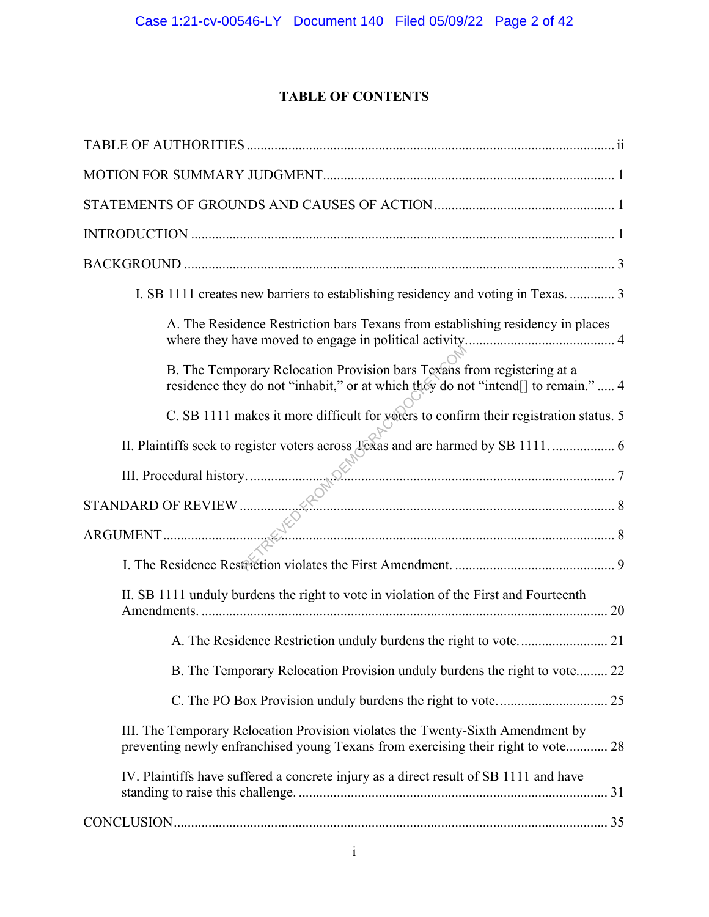# **TABLE OF CONTENTS**

| I. SB 1111 creates new barriers to establishing residency and voting in Texas.  3                                                                                   |
|---------------------------------------------------------------------------------------------------------------------------------------------------------------------|
| A. The Residence Restriction bars Texans from establishing residency in places                                                                                      |
| B. The Temporary Relocation Provision bars Texans from registering at a<br>residence they do not "inhabit," or at which they do not "intend[] to remain."  4        |
| C. SB 1111 makes it more difficult for voters to confirm their registration status. 5                                                                               |
|                                                                                                                                                                     |
|                                                                                                                                                                     |
|                                                                                                                                                                     |
| III. Procedural history.                                                                                                                                            |
|                                                                                                                                                                     |
| II. SB 1111 unduly burdens the right to vote in violation of the First and Fourteenth                                                                               |
|                                                                                                                                                                     |
| B. The Temporary Relocation Provision unduly burdens the right to vote 22                                                                                           |
|                                                                                                                                                                     |
| III. The Temporary Relocation Provision violates the Twenty-Sixth Amendment by<br>preventing newly enfranchised young Texans from exercising their right to vote 28 |
| IV. Plaintiffs have suffered a concrete injury as a direct result of SB 1111 and have                                                                               |
|                                                                                                                                                                     |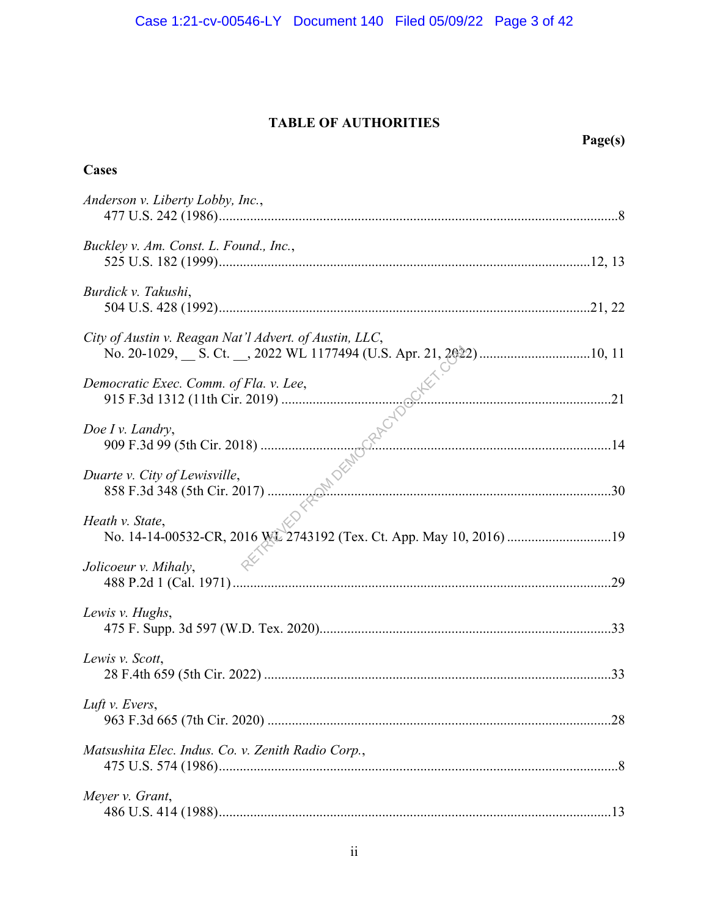# **TABLE OF AUTHORITIES**

|                                                                                        | Page(s) |
|----------------------------------------------------------------------------------------|---------|
| Cases                                                                                  |         |
| Anderson v. Liberty Lobby, Inc.,                                                       |         |
| Buckley v. Am. Const. L. Found., Inc.,                                                 |         |
| Burdick v. Takushi,                                                                    |         |
| City of Austin v. Reagan Nat'l Advert. of Austin, LLC,                                 |         |
| Democratic Exec. Comm. of Fla. v. Lee,                                                 |         |
| Doe I v. Landry,                                                                       |         |
| Duarte v. City of Lewisville,                                                          |         |
| Heath v. State,<br>No. 14-14-00532-CR, 2016 WL 2743192 (Tex. Ct. App. May 10, 2016) 19 |         |
| Jolicoeur v. Mihaly,                                                                   |         |
| Lewis v. Hughs,                                                                        |         |
| Lewis v. Scott,                                                                        |         |
| Luft v. Evers,                                                                         |         |
| Matsushita Elec. Indus. Co. v. Zenith Radio Corp.,                                     |         |
| Meyer v. Grant,                                                                        |         |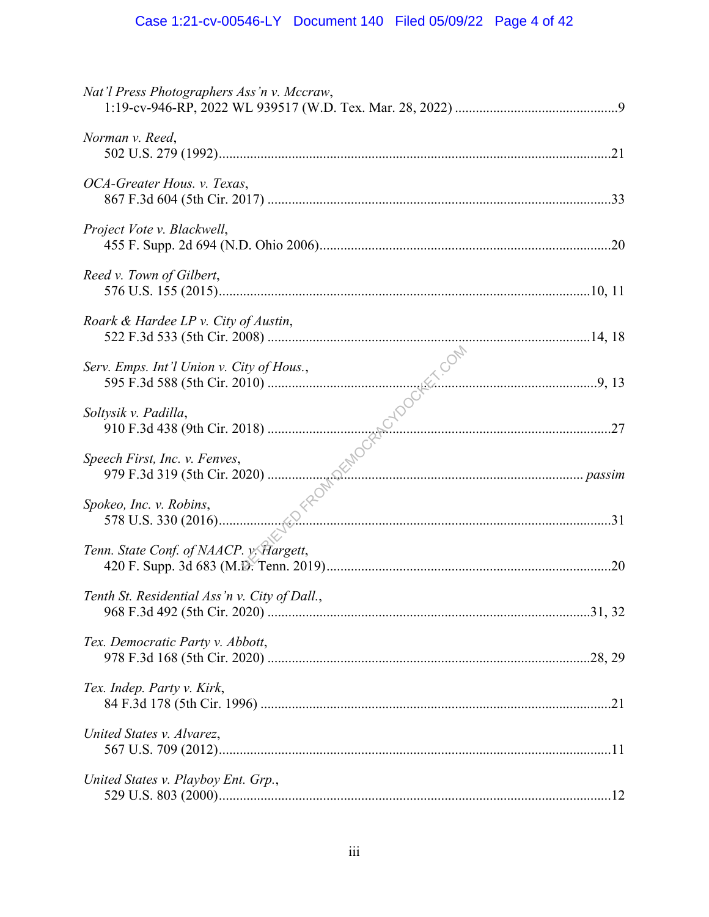| Nat'l Press Photographers Ass'n v. Mccraw,    |  |
|-----------------------------------------------|--|
| Norman v. Reed,                               |  |
| OCA-Greater Hous. v. Texas,                   |  |
| Project Vote v. Blackwell,                    |  |
| Reed v. Town of Gilbert,                      |  |
| Roark & Hardee LP v. City of Austin,          |  |
| Serv. Emps. Int'l Union v. City of Hous.,     |  |
| Soltysik v. Padilla,                          |  |
| Speech First, Inc. v. Fenves,                 |  |
| Spokeo, Inc. v. Robins,                       |  |
| Tenn. State Conf. of NAACP. y. Hargett,       |  |
| Tenth St. Residential Ass'n v. City of Dall., |  |
| Tex. Democratic Party v. Abbott,              |  |
| Tex. Indep. Party v. Kirk,                    |  |
| United States v. Alvarez,                     |  |
| United States v. Playboy Ent. Grp.,           |  |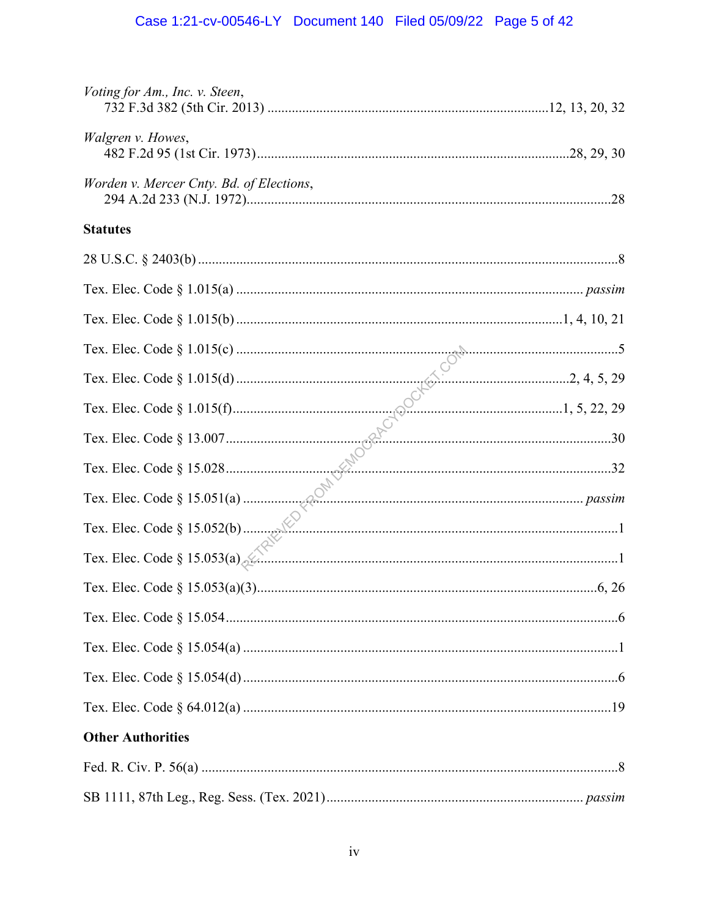| Voting for Am., Inc. v. Steen,           |  |
|------------------------------------------|--|
| Walgren v. Howes,                        |  |
| Worden v. Mercer Cnty. Bd. of Elections, |  |
| <b>Statutes</b>                          |  |
|                                          |  |
|                                          |  |
|                                          |  |
|                                          |  |
|                                          |  |
|                                          |  |
|                                          |  |
|                                          |  |
|                                          |  |
|                                          |  |
|                                          |  |
|                                          |  |
|                                          |  |
|                                          |  |
|                                          |  |
|                                          |  |
| <b>Other Authorities</b>                 |  |
|                                          |  |
|                                          |  |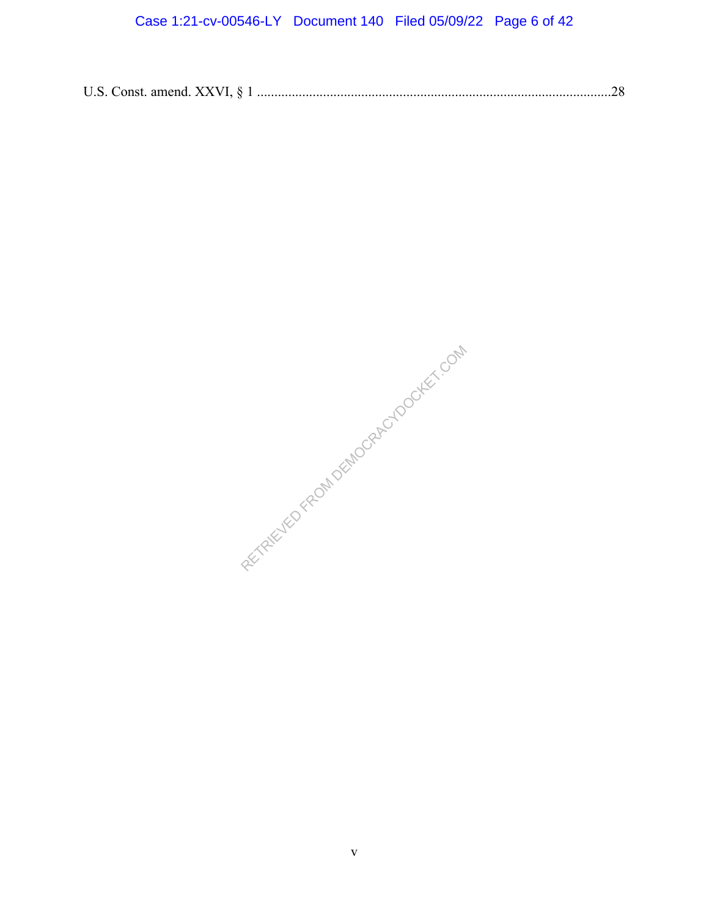# Case 1:21-cv-00546-LY Document 140 Filed 05/09/22 Page 6 of 42

|--|--|--|

RETRIEVED FROM DEMOCRACYDOCKET.COM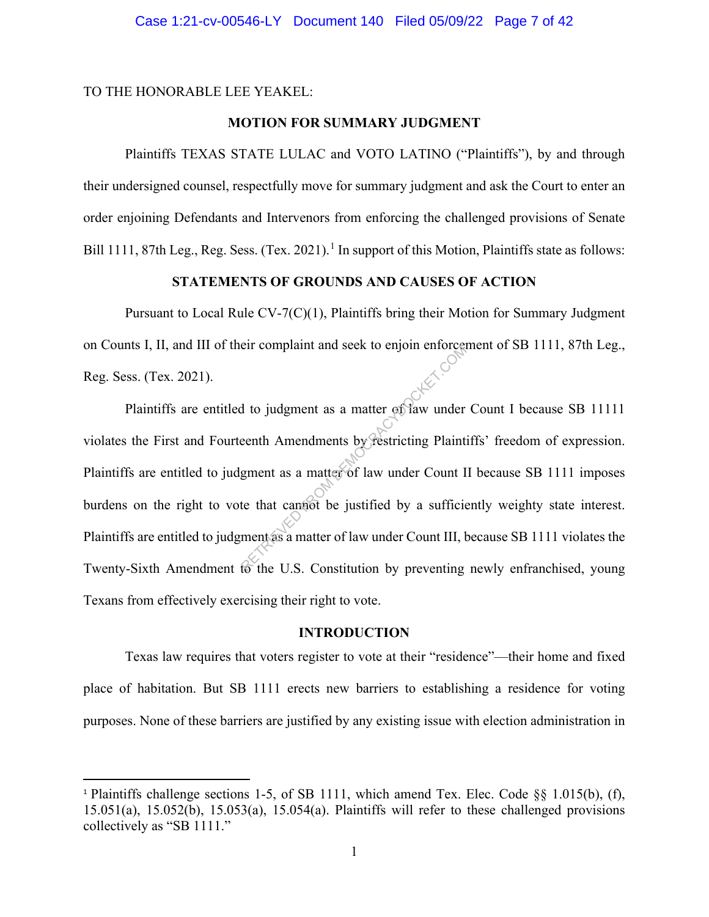TO THE HONORABLE LEE YEAKEL:

### **MOTION FOR SUMMARY JUDGMENT**

Plaintiffs TEXAS STATE LULAC and VOTO LATINO ("Plaintiffs"), by and through their undersigned counsel, respectfully move for summary judgment and ask the Court to enter an order enjoining Defendants and Intervenors from enforcing the challenged provisions of Senate Bill 1111, 87th Leg., Reg. Sess. (Tex. 2021).<sup>1</sup> In support of this Motion, Plaintiffs state as follows:

### **STATEMENTS OF GROUNDS AND CAUSES OF ACTION**

Pursuant to Local Rule CV-7(C)(1), Plaintiffs bring their Motion for Summary Judgment on Counts I, II, and III of their complaint and seek to enjoin enforcement of SB 1111, 87th Leg., Reg. Sess. (Tex. 2021).

Plaintiffs are entitled to judgment as a matter of law under Count I because SB 11111 violates the First and Fourteenth Amendments by restricting Plaintiffs' freedom of expression. Plaintiffs are entitled to judgment as a matter of law under Count II because SB 1111 imposes burdens on the right to vote that cannot be justified by a sufficiently weighty state interest. Plaintiffs are entitled to judgment as a matter of law under Count III, because SB 1111 violates the Twenty-Sixth Amendment to the U.S. Constitution by preventing newly enfranchised, young Texans from effectively exercising their right to vote. References<br>
Referred to judgment as a matter of law under<br>
eenth Amendments by restricting Plaint<br>
gment as a matter of law under Count II<br>
te that campot be justified by a sufficial<br>
ment as a matter of law under Count II

### **INTRODUCTION**

Texas law requires that voters register to vote at their "residence"—their home and fixed place of habitation. But SB 1111 erects new barriers to establishing a residence for voting purposes. None of these barriers are justified by any existing issue with election administration in

<sup>1</sup> Plaintiffs challenge sections 1-5, of SB 1111, which amend Tex. Elec. Code §§ 1.015(b), (f), 15.051(a), 15.052(b), 15.053(a), 15.054(a). Plaintiffs will refer to these challenged provisions collectively as "SB 1111."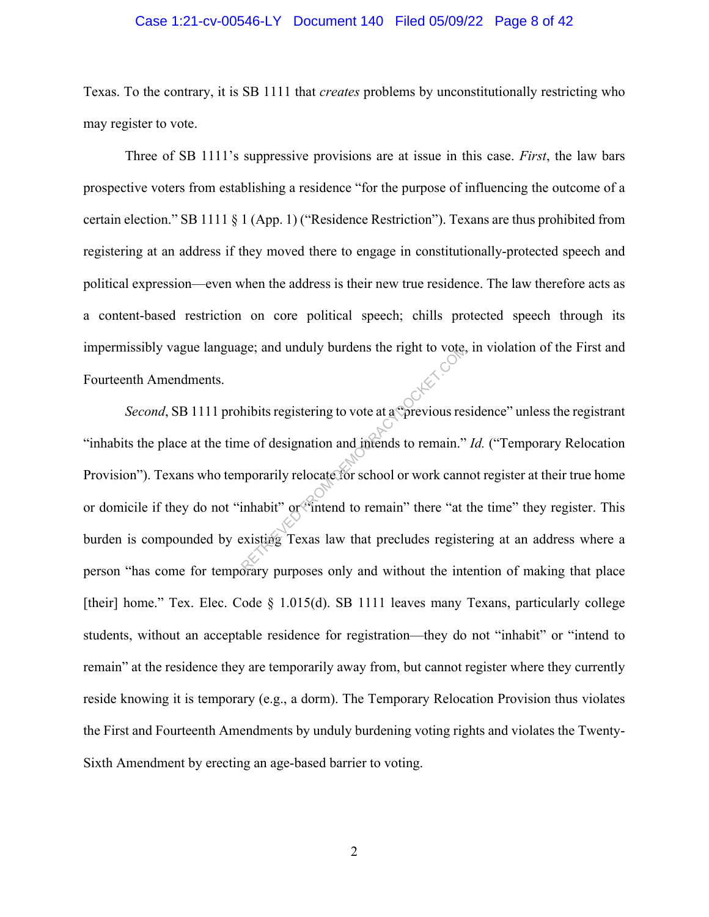#### Case 1:21-cv-00546-LY Document 140 Filed 05/09/22 Page 8 of 42

Texas. To the contrary, it is SB 1111 that *creates* problems by unconstitutionally restricting who may register to vote.

Three of SB 1111's suppressive provisions are at issue in this case. *First*, the law bars prospective voters from establishing a residence "for the purpose of influencing the outcome of a certain election." SB 1111 § 1 (App. 1) ("Residence Restriction"). Texans are thus prohibited from registering at an address if they moved there to engage in constitutionally-protected speech and political expression—even when the address is their new true residence. The law therefore acts as a content-based restriction on core political speech; chills protected speech through its impermissibly vague language; and unduly burdens the right to vote, in violation of the First and Fourteenth Amendments.

*Second*, SB 1111 prohibits registering to vote at a "previous residence" unless the registrant "inhabits the place at the time of designation and intends to remain." *Id.* ("Temporary Relocation Provision"). Texans who temporarily relocate for school or work cannot register at their true home or domicile if they do not "inhabit" or "intend to remain" there "at the time" they register. This burden is compounded by existing Texas law that precludes registering at an address where a person "has come for temporary purposes only and without the intention of making that place [their] home." Tex. Elec. Code  $\S$  1.015(d). SB 1111 leaves many Texans, particularly college students, without an acceptable residence for registration—they do not "inhabit" or "intend to remain" at the residence they are temporarily away from, but cannot register where they currently reside knowing it is temporary (e.g., a dorm). The Temporary Relocation Provision thus violates the First and Fourteenth Amendments by unduly burdening voting rights and violates the Twenty-Sixth Amendment by erecting an age-based barrier to voting. ge; and unduly burdens the right to vote,<br>hibits registering to vote at a Oprevious respectively<br>thibits registering to vote at a Oprevious respectively<br>imporarily relocate for school or work cannot inhabit" or "intend to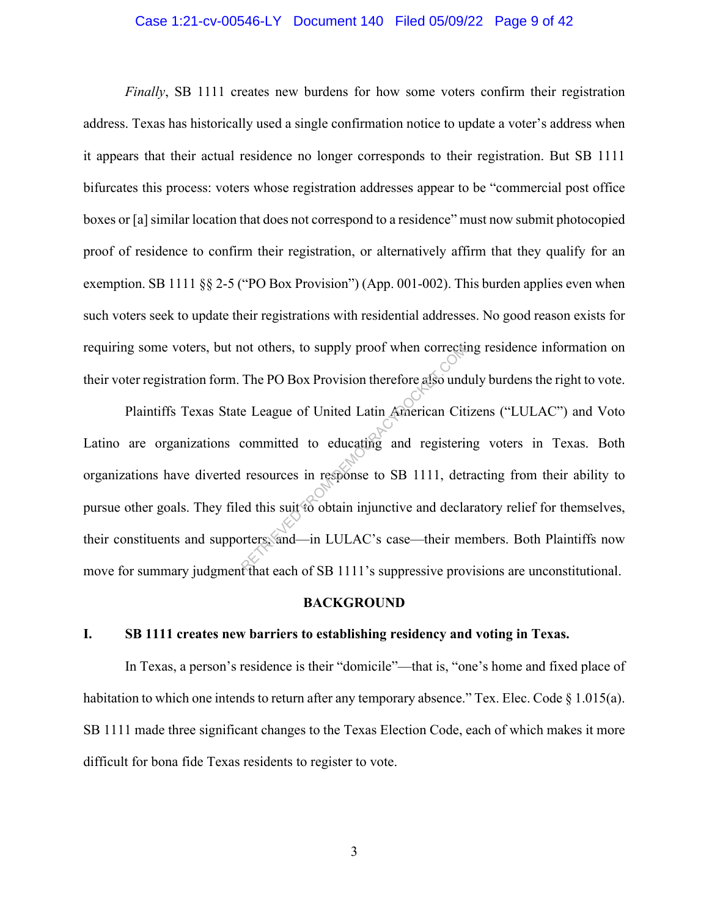### Case 1:21-cv-00546-LY Document 140 Filed 05/09/22 Page 9 of 42

*Finally*, SB 1111 creates new burdens for how some voters confirm their registration address. Texas has historically used a single confirmation notice to update a voter's address when it appears that their actual residence no longer corresponds to their registration. But SB 1111 bifurcates this process: voters whose registration addresses appear to be "commercial post office boxes or [a] similar location that does not correspond to a residence" must now submit photocopied proof of residence to confirm their registration, or alternatively affirm that they qualify for an exemption. SB 1111 §§ 2-5 ("PO Box Provision") (App. 001-002). This burden applies even when such voters seek to update their registrations with residential addresses. No good reason exists for requiring some voters, but not others, to supply proof when correcting residence information on their voter registration form. The PO Box Provision therefore also unduly burdens the right to vote.

Plaintiffs Texas State League of United Latin American Citizens ("LULAC") and Voto Latino are organizations committed to educating and registering voters in Texas. Both organizations have diverted resources in response to SB 1111, detracting from their ability to pursue other goals. They filed this suit to obtain injunctive and declaratory relief for themselves, their constituents and supporters, and—in LULAC's case—their members. Both Plaintiffs now move for summary judgment that each of SB 1111's suppressive provisions are unconstitutional. not others, to supply proot when corrects<br>The PO Box Provision therefore also und<br>e League of United Latin American Cit<br>committed to educating and registerin<br>resources in response to SB 1111, det<br>ed this suit to obtain inj

#### **BACKGROUND**

#### **I. SB 1111 creates new barriers to establishing residency and voting in Texas.**

In Texas, a person's residence is their "domicile"—that is, "one's home and fixed place of habitation to which one intends to return after any temporary absence." Tex. Elec. Code  $\S 1.015(a)$ . SB 1111 made three significant changes to the Texas Election Code, each of which makes it more difficult for bona fide Texas residents to register to vote.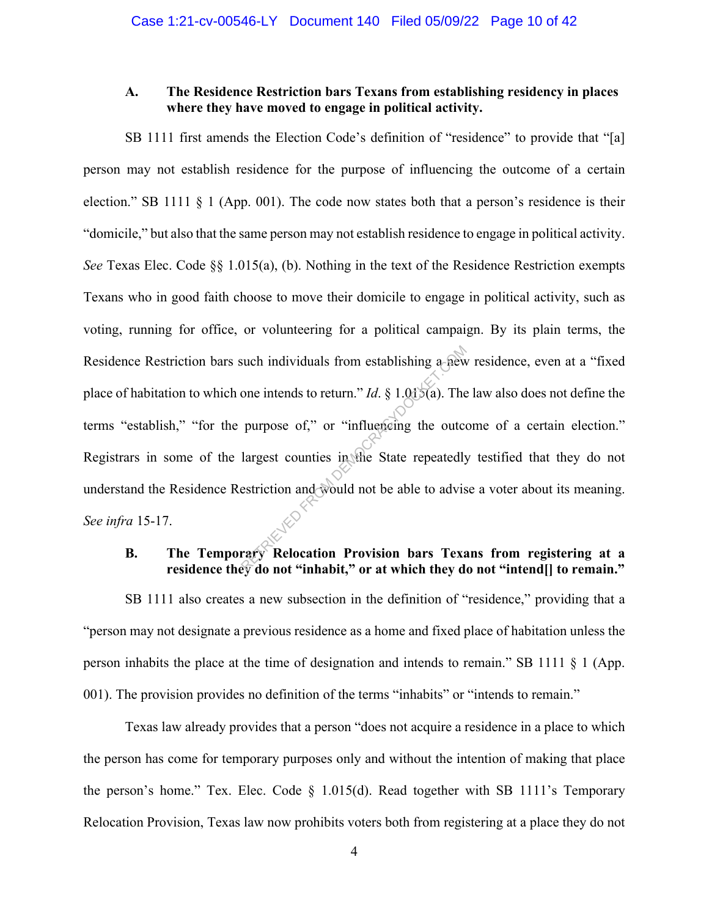### **A. The Residence Restriction bars Texans from establishing residency in places where they have moved to engage in political activity.**

SB 1111 first amends the Election Code's definition of "residence" to provide that "[a] person may not establish residence for the purpose of influencing the outcome of a certain election." SB 1111 § 1 (App. 001). The code now states both that a person's residence is their "domicile," but also that the same person may not establish residence to engage in political activity. *See* Texas Elec. Code §§ 1.015(a), (b). Nothing in the text of the Residence Restriction exempts Texans who in good faith choose to move their domicile to engage in political activity, such as voting, running for office, or volunteering for a political campaign. By its plain terms, the Residence Restriction bars such individuals from establishing a new residence, even at a "fixed place of habitation to which one intends to return." *Id*. § 1.015(a). The law also does not define the terms "establish," "for the purpose of," or "influencing the outcome of a certain election." Registrars in some of the largest counties in the State repeatedly testified that they do not understand the Residence Restriction and would not be able to advise a voter about its meaning. *See infra* 15-17. such individuals from establishing a-new<br>
one intends to return." *Id.* § 1.0*d*(a). The<br>
purpose of," or "influencing the outco-<br>
largest counties in the State repeatedly<br>
estriction and would not be able to advise<br>
estr

# **B. The Temporary Relocation Provision bars Texans from registering at a residence they do not "inhabit," or at which they do not "intend[] to remain."**

SB 1111 also creates a new subsection in the definition of "residence," providing that a "person may not designate a previous residence as a home and fixed place of habitation unless the person inhabits the place at the time of designation and intends to remain." SB 1111 § 1 (App. 001). The provision provides no definition of the terms "inhabits" or "intends to remain."

Texas law already provides that a person "does not acquire a residence in a place to which the person has come for temporary purposes only and without the intention of making that place the person's home." Tex. Elec. Code  $\S$  1.015(d). Read together with SB 1111's Temporary Relocation Provision, Texas law now prohibits voters both from registering at a place they do not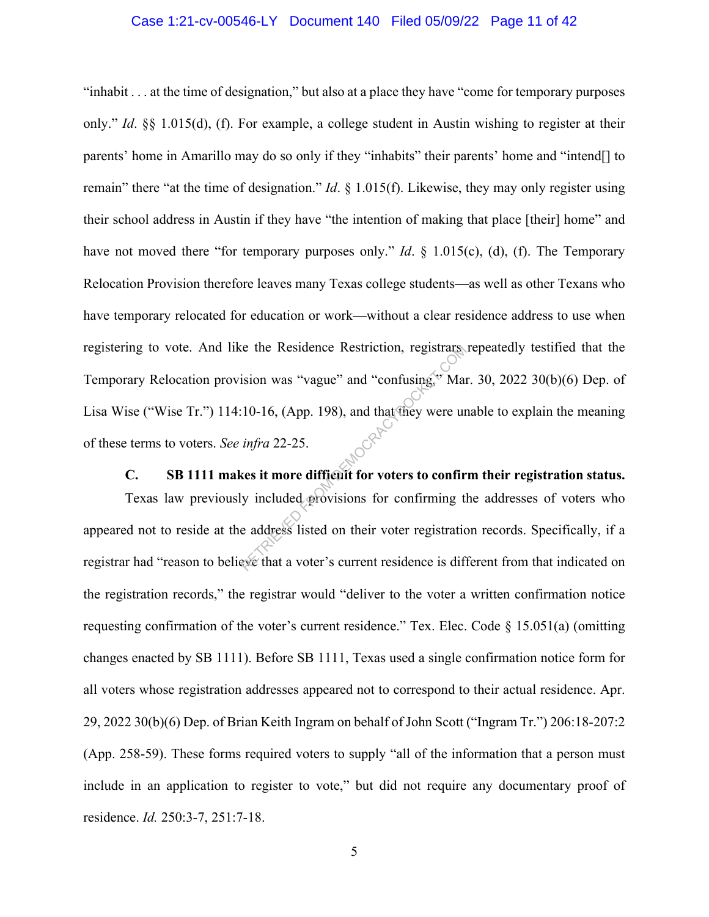### Case 1:21-cv-00546-LY Document 140 Filed 05/09/22 Page 11 of 42

"inhabit . . . at the time of designation," but also at a place they have "come for temporary purposes only." *Id*. §§ 1.015(d), (f). For example, a college student in Austin wishing to register at their parents' home in Amarillo may do so only if they "inhabits" their parents' home and "intend[] to remain" there "at the time of designation." *Id*. § 1.015(f). Likewise, they may only register using their school address in Austin if they have "the intention of making that place [their] home" and have not moved there "for temporary purposes only." *Id.* § 1.015(c), (d), (f). The Temporary Relocation Provision therefore leaves many Texas college students—as well as other Texans who have temporary relocated for education or work—without a clear residence address to use when registering to vote. And like the Residence Restriction, registrars repeatedly testified that the Temporary Relocation provision was "vague" and "confusing," Mar. 30, 2022 30(b)(6) Dep. of Lisa Wise ("Wise Tr.") 114:10-16, (App. 198), and that they were unable to explain the meaning of these terms to voters. *See infra* 22-25. The Residence Restriction, registrary<br>
Residence Restriction, registrary<br>
Residence and "confusing," Man<br>
10-16, (App. 198), and that they were ure<br>
infra 22-25.<br>
Residence is the more difficult for voters to confirm<br>
in i

**C. SB 1111 makes it more difficult for voters to confirm their registration status.**

Texas law previously included provisions for confirming the addresses of voters who appeared not to reside at the address listed on their voter registration records. Specifically, if a registrar had "reason to believe that a voter's current residence is different from that indicated on the registration records," the registrar would "deliver to the voter a written confirmation notice requesting confirmation of the voter's current residence." Tex. Elec. Code  $\S$  15.051(a) (omitting changes enacted by SB 1111). Before SB 1111, Texas used a single confirmation notice form for all voters whose registration addresses appeared not to correspond to their actual residence. Apr. 29, 2022 30(b)(6) Dep. of Brian Keith Ingram on behalf of John Scott ("Ingram Tr.") 206:18-207:2 (App. 258-59). These forms required voters to supply "all of the information that a person must include in an application to register to vote," but did not require any documentary proof of residence. *Id.* 250:3-7, 251:7-18.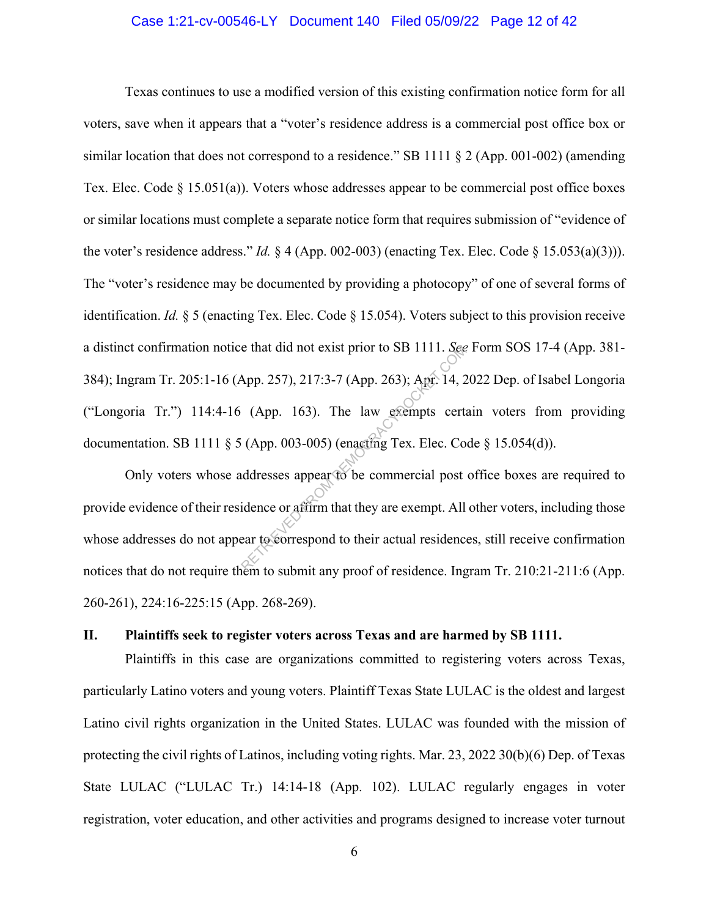### Case 1:21-cv-00546-LY Document 140 Filed 05/09/22 Page 12 of 42

Texas continues to use a modified version of this existing confirmation notice form for all voters, save when it appears that a "voter's residence address is a commercial post office box or similar location that does not correspond to a residence." SB 1111  $\S 2$  (App. 001-002) (amending Tex. Elec. Code  $\S$  15.051(a)). Voters whose addresses appear to be commercial post office boxes or similar locations must complete a separate notice form that requires submission of "evidence of the voter's residence address." *Id.* § 4 (App. 002-003) (enacting Tex. Elec. Code § 15.053(a)(3))). The "voter's residence may be documented by providing a photocopy" of one of several forms of identification. *Id.* § 5 (enacting Tex. Elec. Code § 15.054). Voters subject to this provision receive a distinct confirmation notice that did not exist prior to SB 1111. *See* Form SOS 17-4 (App. 381- 384); Ingram Tr. 205:1-16 (App. 257), 217:3-7 (App. 263); Apr. 14, 2022 Dep. of Isabel Longoria ("Longoria Tr.") 114:4-16 (App. 163). The law exempts certain voters from providing documentation. SB 1111 § 5 (App. 003-005) (enacting Tex. Elec. Code § 15.054(d)). e that did not exist prior to SB 1111. See<br>App. 257), 217:3-7 (App. 263); Apr. 14, 2<br>(App. 163). The law exempts cert:<br>(App. 003-005) (enacting Tex. Elec. Co<br>ddresses appear to be commercial post<br>idence or affirm that they

Only voters whose addresses appear to be commercial post office boxes are required to provide evidence of their residence or affirm that they are exempt. All other voters, including those whose addresses do not appear to correspond to their actual residences, still receive confirmation notices that do not require them to submit any proof of residence. Ingram Tr. 210:21-211:6 (App. 260-261), 224:16-225:15 (App. 268-269).

#### **II. Plaintiffs seek to register voters across Texas and are harmed by SB 1111.**

Plaintiffs in this case are organizations committed to registering voters across Texas, particularly Latino voters and young voters. Plaintiff Texas State LULAC is the oldest and largest Latino civil rights organization in the United States. LULAC was founded with the mission of protecting the civil rights of Latinos, including voting rights. Mar. 23, 2022 30(b)(6) Dep. of Texas State LULAC ("LULAC Tr.) 14:14-18 (App. 102). LULAC regularly engages in voter registration, voter education, and other activities and programs designed to increase voter turnout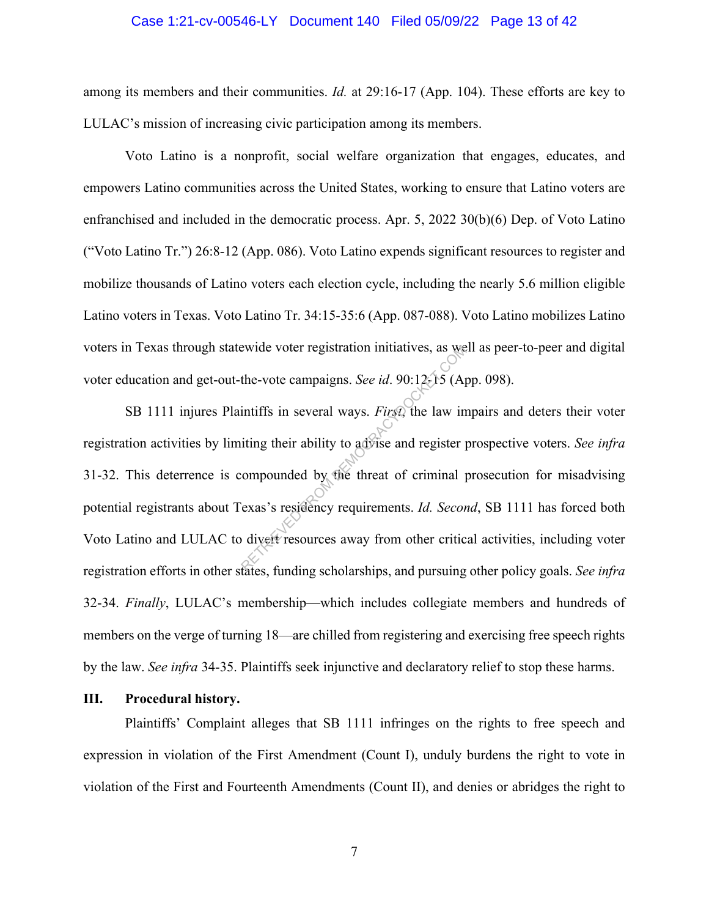### Case 1:21-cv-00546-LY Document 140 Filed 05/09/22 Page 13 of 42

among its members and their communities. *Id.* at 29:16-17 (App. 104). These efforts are key to LULAC's mission of increasing civic participation among its members.

Voto Latino is a nonprofit, social welfare organization that engages, educates, and empowers Latino communities across the United States, working to ensure that Latino voters are enfranchised and included in the democratic process. Apr. 5, 2022 30(b)(6) Dep. of Voto Latino ("Voto Latino Tr.") 26:8-12 (App. 086). Voto Latino expends significant resources to register and mobilize thousands of Latino voters each election cycle, including the nearly 5.6 million eligible Latino voters in Texas. Voto Latino Tr. 34:15-35:6 (App. 087-088). Voto Latino mobilizes Latino voters in Texas through statewide voter registration initiatives, as well as peer-to-peer and digital voter education and get-out-the-vote campaigns. *See id*. 90:12 $\frac{5}{20}$  (App. 098).

SB 1111 injures Plaintiffs in several ways. *First*, the law impairs and deters their voter registration activities by limiting their ability to advise and register prospective voters. *See infra*  31-32. This deterrence is compounded by the threat of criminal prosecution for misadvising potential registrants about Texas's residency requirements. *Id. Second*, SB 1111 has forced both Voto Latino and LULAC to divert resources away from other critical activities, including voter registration efforts in other states, funding scholarships, and pursuing other policy goals. *See infra* 32-34. *Finally*, LULAC's membership—which includes collegiate members and hundreds of members on the verge of turning 18—are chilled from registering and exercising free speech rights by the law. *See infra* 34-35. Plaintiffs seek injunctive and declaratory relief to stop these harms. ewide voter registration initiatives, as we<br>the-vote campaigns. See id. 90:12:15 (A<sub>I</sub><br>intiffs in several ways. *First*, the law in<br>iting their ability to advise and register p<br>compounded by the threat of criminal p<br>exas's

#### **III. Procedural history.**

Plaintiffs' Complaint alleges that SB 1111 infringes on the rights to free speech and expression in violation of the First Amendment (Count I), unduly burdens the right to vote in violation of the First and Fourteenth Amendments (Count II), and denies or abridges the right to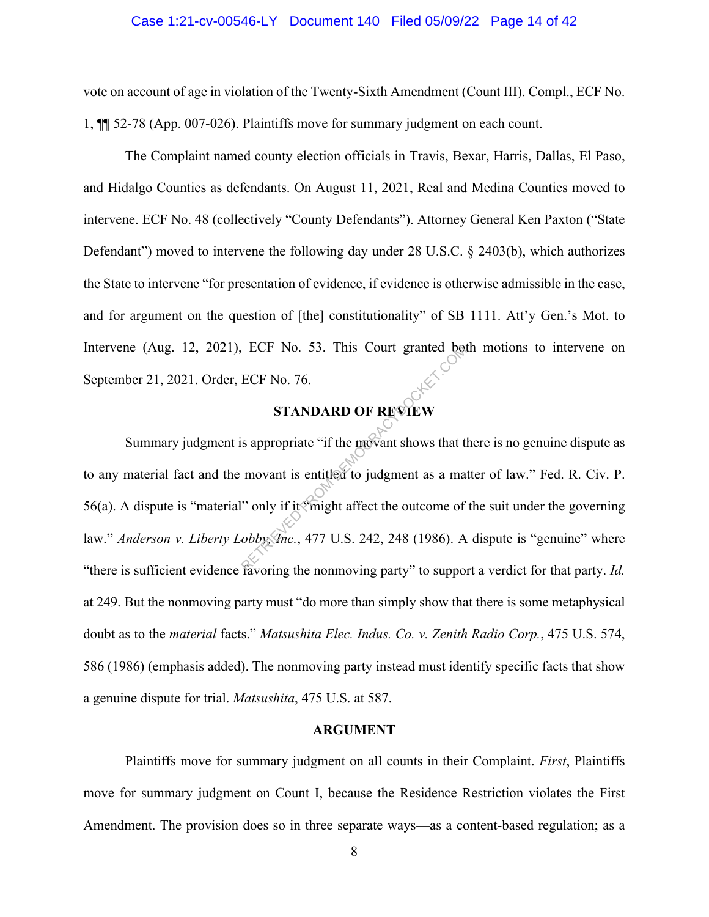#### Case 1:21-cv-00546-LY Document 140 Filed 05/09/22 Page 14 of 42

vote on account of age in violation of the Twenty-Sixth Amendment (Count III). Compl., ECF No. 1, ¶¶ 52-78 (App. 007-026). Plaintiffs move for summary judgment on each count.

The Complaint named county election officials in Travis, Bexar, Harris, Dallas, El Paso, and Hidalgo Counties as defendants. On August 11, 2021, Real and Medina Counties moved to intervene. ECF No. 48 (collectively "County Defendants"). Attorney General Ken Paxton ("State Defendant") moved to intervene the following day under 28 U.S.C. § 2403(b), which authorizes the State to intervene "for presentation of evidence, if evidence is otherwise admissible in the case, and for argument on the question of [the] constitutionality" of SB 1111. Att'y Gen.'s Mot. to Intervene (Aug. 12, 2021), ECF No. 53. This Court granted both motions to intervene on September 21, 2021. Order, ECF No. 76.

## **STANDARD OF REVIEW**

Summary judgment is appropriate "if the movant shows that there is no genuine dispute as to any material fact and the movant is entitled to judgment as a matter of law." Fed. R. Civ. P. 56(a). A dispute is "material" only if it "might affect the outcome of the suit under the governing law." *Anderson v. Liberty Lobby, Inc.*, 477 U.S. 242, 248 (1986). A dispute is "genuine" where "there is sufficient evidence favoring the nonmoving party" to support a verdict for that party. *Id.* at 249. But the nonmoving party must "do more than simply show that there is some metaphysical doubt as to the *material* facts." *Matsushita Elec. Indus. Co. v. Zenith Radio Corp.*, 475 U.S. 574, 586 (1986) (emphasis added). The nonmoving party instead must identify specific facts that show a genuine dispute for trial. *Matsushita*, 475 U.S. at 587. ECF No. 33. This Court granted betters<br>ECF No. 76.<br>STANDARD OF REVIEW<br>is appropriate "if the movant shows that the<br>movant is entitled to judgment as a ma<br>involved in the more of<br>obbysing the nonmoving party" to support<br>Fa

#### **ARGUMENT**

Plaintiffs move for summary judgment on all counts in their Complaint. *First*, Plaintiffs move for summary judgment on Count I, because the Residence Restriction violates the First Amendment. The provision does so in three separate ways—as a content-based regulation; as a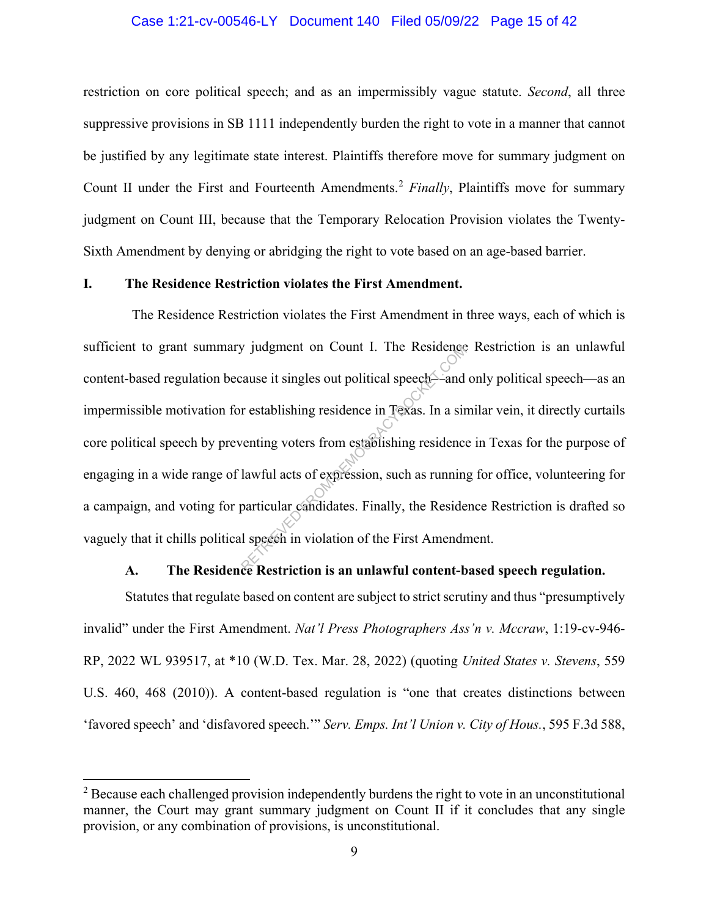### Case 1:21-cv-00546-LY Document 140 Filed 05/09/22 Page 15 of 42

restriction on core political speech; and as an impermissibly vague statute. *Second*, all three suppressive provisions in SB 1111 independently burden the right to vote in a manner that cannot be justified by any legitimate state interest. Plaintiffs therefore move for summary judgment on Count II under the First and Fourteenth Amendments.<sup>2</sup> *Finally*, Plaintiffs move for summary judgment on Count III, because that the Temporary Relocation Provision violates the Twenty-Sixth Amendment by denying or abridging the right to vote based on an age-based barrier.

### **I. The Residence Restriction violates the First Amendment.**

 The Residence Restriction violates the First Amendment in three ways, each of which is sufficient to grant summary judgment on Count I. The Residence Restriction is an unlawful content-based regulation because it singles out political speech—and only political speech—as an impermissible motivation for establishing residence in Texas. In a similar vein, it directly curtails core political speech by preventing voters from establishing residence in Texas for the purpose of engaging in a wide range of lawful acts of expression, such as running for office, volunteering for a campaign, and voting for particular candidates. Finally, the Residence Restriction is drafted so vaguely that it chills political speech in violation of the First Amendment. y judgment on Count 1. The Residence<br>cause it singles out political speech—and<br>r establishing residence in Texas. In a sir<br>venting voters from establishing residence<br>lawful acts of expression, such as runnin<br>particular can

### **A. The Residence Restriction is an unlawful content-based speech regulation.**

Statutes that regulate based on content are subject to strict scrutiny and thus "presumptively invalid" under the First Amendment. *Nat'l Press Photographers Ass'n v. Mccraw*, 1:19-cv-946- RP, 2022 WL 939517, at \*10 (W.D. Tex. Mar. 28, 2022) (quoting *United States v. Stevens*, 559 U.S. 460, 468 (2010)). A content-based regulation is "one that creates distinctions between 'favored speech' and 'disfavored speech.'" *Serv. Emps. Int'l Union v. City of Hous.*, 595 F.3d 588,

<sup>&</sup>lt;sup>2</sup> Because each challenged provision independently burdens the right to vote in an unconstitutional manner, the Court may grant summary judgment on Count II if it concludes that any single provision, or any combination of provisions, is unconstitutional.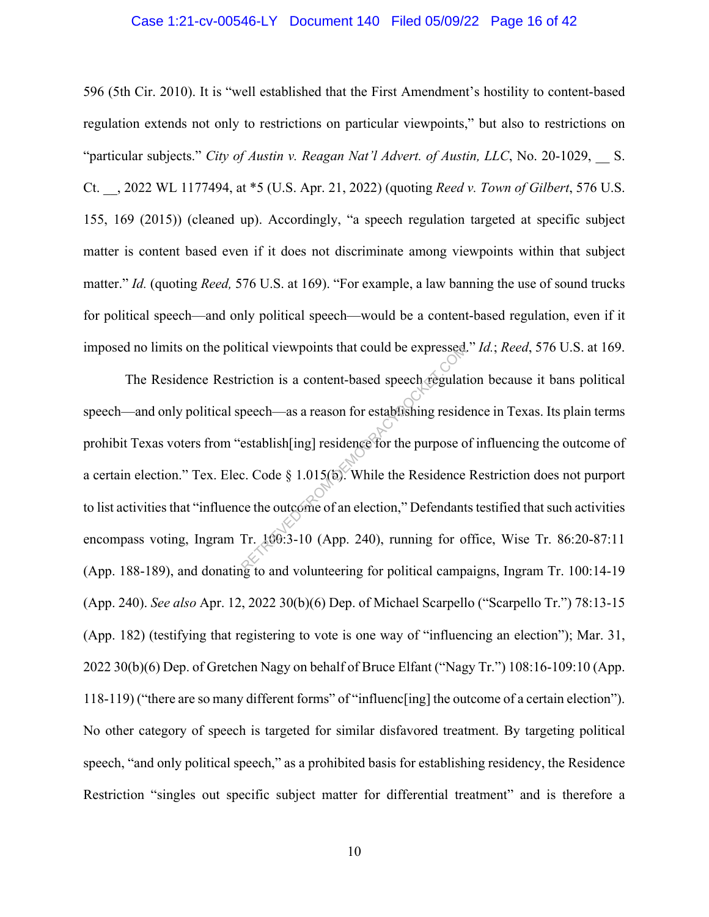### Case 1:21-cv-00546-LY Document 140 Filed 05/09/22 Page 16 of 42

596 (5th Cir. 2010). It is "well established that the First Amendment's hostility to content-based regulation extends not only to restrictions on particular viewpoints," but also to restrictions on "particular subjects." *City of Austin v. Reagan Nat'l Advert. of Austin, LLC*, No. 20-1029, \_\_ S. Ct. \_\_, 2022 WL 1177494, at \*5 (U.S. Apr. 21, 2022) (quoting *Reed v. Town of Gilbert*, 576 U.S. 155, 169 (2015)) (cleaned up). Accordingly, "a speech regulation targeted at specific subject matter is content based even if it does not discriminate among viewpoints within that subject matter." *Id.* (quoting *Reed,* 576 U.S. at 169). "For example, a law banning the use of sound trucks for political speech—and only political speech—would be a content-based regulation, even if it imposed no limits on the political viewpoints that could be expressed." *Id.*; *Reed*, 576 U.S. at 169.

The Residence Restriction is a content-based speech regulation because it bans political speech—and only political speech—as a reason for establishing residence in Texas. Its plain terms prohibit Texas voters from "establish[ing] residence for the purpose of influencing the outcome of a certain election." Tex. Elec. Code § 1.015(b). While the Residence Restriction does not purport to list activities that "influence the outcome of an election," Defendants testified that such activities encompass voting, Ingram Tr. 100:3-10 (App. 240), running for office, Wise Tr. 86:20-87:11 (App. 188-189), and donating to and volunteering for political campaigns, Ingram Tr. 100:14-19 (App. 240). *See also* Apr. 12, 2022 30(b)(6) Dep. of Michael Scarpello ("Scarpello Tr.") 78:13-15 (App. 182) (testifying that registering to vote is one way of "influencing an election"); Mar. 31, 2022 30(b)(6) Dep. of Gretchen Nagy on behalf of Bruce Elfant ("Nagy Tr.") 108:16-109:10 (App. 118-119) ("there are so many different forms" of "influenc[ing] the outcome of a certain election"). No other category of speech is targeted for similar disfavored treatment. By targeting political speech, "and only political speech," as a prohibited basis for establishing residency, the Residence Restriction "singles out specific subject matter for differential treatment" and is therefore a The expressed of expressed incition is a content-based speech regulat peech—as a reason for establishing resident<br>establish[ing] residence for the purpose of establish[ing] residence for the purpose of expansion of the Res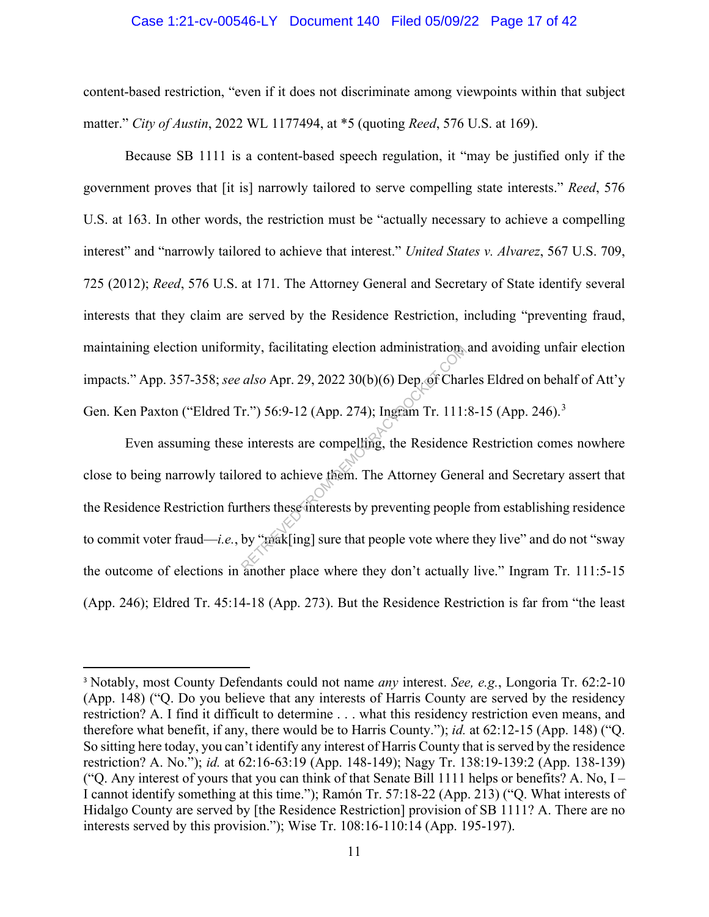### Case 1:21-cv-00546-LY Document 140 Filed 05/09/22 Page 17 of 42

content-based restriction, "even if it does not discriminate among viewpoints within that subject matter." *City of Austin*, 2022 WL 1177494, at \*5 (quoting *Reed*, 576 U.S. at 169).

Because SB 1111 is a content-based speech regulation, it "may be justified only if the government proves that [it is] narrowly tailored to serve compelling state interests." *Reed*, 576 U.S. at 163. In other words, the restriction must be "actually necessary to achieve a compelling interest" and "narrowly tailored to achieve that interest." *United States v. Alvarez*, 567 U.S. 709, 725 (2012); *Reed*, 576 U.S. at 171. The Attorney General and Secretary of State identify several interests that they claim are served by the Residence Restriction, including "preventing fraud, maintaining election uniformity, facilitating election administration, and avoiding unfair election impacts." App. 357-358; *see also* Apr. 29, 2022 30(b)(6) Dep. of Charles Eldred on behalf of Att'y Gen. Ken Paxton ("Eldred Tr.") 56:9-12 (App. 274); Ingram Tr. 111:8-15 (App. 246).<sup>3</sup>

Even assuming these interests are compelling, the Residence Restriction comes nowhere close to being narrowly tailored to achieve them. The Attorney General and Secretary assert that the Residence Restriction furthers these interests by preventing people from establishing residence to commit voter fraud—*i.e.*, by "mak[ing] sure that people vote where they live" and do not "sway the outcome of elections in another place where they don't actually live." Ingram Tr. 111:5-15 (App. 246); Eldred Tr. 45:14-18 (App. 273). But the Residence Restriction is far from "the least mity, facilitating election administration.<br>
also Apr. 29, 2022 30(b)(6) Dep of Char<br>
F.") 56:9-12 (App. 274); Ingram Tr. 111:<br>
e interests are compelling, the Residence<br>
ored to achieve them. The Attorney Gene<br>
orthers th

<sup>3</sup> Notably, most County Defendants could not name *any* interest. *See, e.g.*, Longoria Tr. 62:2-10 (App. 148) ("Q. Do you believe that any interests of Harris County are served by the residency restriction? A. I find it difficult to determine . . . what this residency restriction even means, and therefore what benefit, if any, there would be to Harris County."); *id.* at 62:12-15 (App. 148) ("Q. So sitting here today, you can't identify any interest of Harris County that is served by the residence restriction? A. No."); *id.* at 62:16-63:19 (App. 148-149); Nagy Tr. 138:19-139:2 (App. 138-139) ("Q. Any interest of yours that you can think of that Senate Bill 1111 helps or benefits? A. No, I – I cannot identify something at this time."); Ramón Tr. 57:18-22 (App. 213) ("Q. What interests of Hidalgo County are served by [the Residence Restriction] provision of SB 1111? A. There are no interests served by this provision."); Wise Tr. 108:16-110:14 (App. 195-197).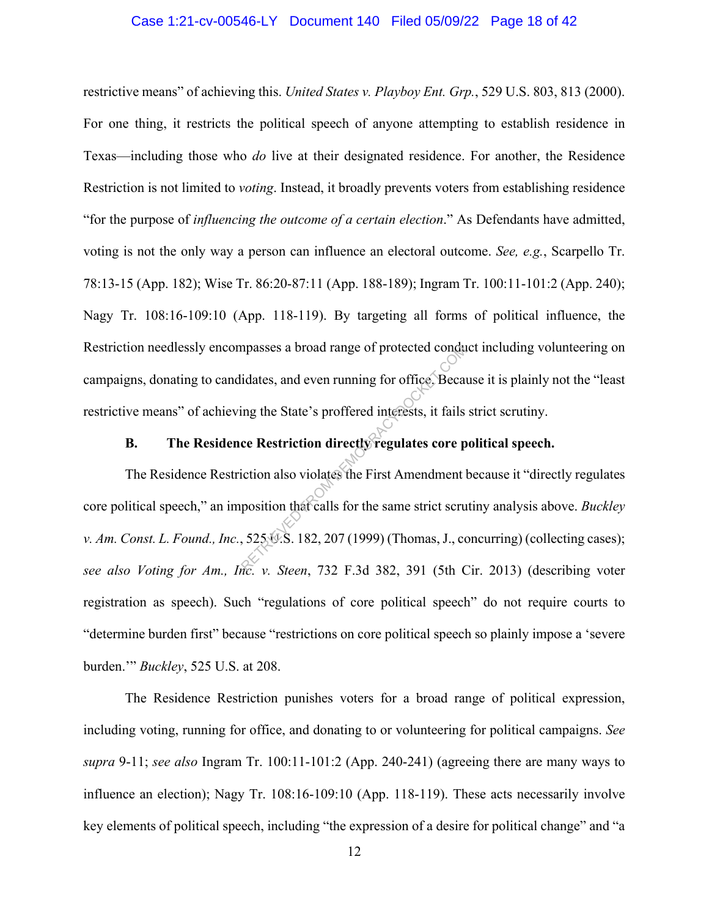### Case 1:21-cv-00546-LY Document 140 Filed 05/09/22 Page 18 of 42

restrictive means" of achieving this. *United States v. Playboy Ent. Grp.*, 529 U.S. 803, 813 (2000). For one thing, it restricts the political speech of anyone attempting to establish residence in Texas—including those who *do* live at their designated residence. For another, the Residence Restriction is not limited to *voting*. Instead, it broadly prevents voters from establishing residence "for the purpose of *influencing the outcome of a certain election*." As Defendants have admitted, voting is not the only way a person can influence an electoral outcome. *See, e.g.*, Scarpello Tr. 78:13-15 (App. 182); Wise Tr. 86:20-87:11 (App. 188-189); Ingram Tr. 100:11-101:2 (App. 240); Nagy Tr. 108:16-109:10 (App. 118-119). By targeting all forms of political influence, the Restriction needlessly encompasses a broad range of protected conduct including volunteering on campaigns, donating to candidates, and even running for office. Because it is plainly not the "least restrictive means" of achieving the State's proffered interests, it fails strict scrutiny.

# **B. The Residence Restriction directly regulates core political speech.**

The Residence Restriction also violates the First Amendment because it "directly regulates core political speech," an imposition that calls for the same strict scrutiny analysis above. *Buckley v. Am. Const. L. Found., Inc.*, 525 *V.S.* 182, 207 (1999) (Thomas, J., concurring) (collecting cases); *see also Voting for Am., Inc. v. Steen*, 732 F.3d 382, 391 (5th Cir. 2013) (describing voter registration as speech). Such "regulations of core political speech" do not require courts to "determine burden first" because "restrictions on core political speech so plainly impose a 'severe burden.'" *Buckley*, 525 U.S. at 208. mpasses a broad range of protected conduidates, and even running for office. Because in the State's proffered interests, it fails corresponding the State's proffered interests, it fails corresponding the State's profered i

The Residence Restriction punishes voters for a broad range of political expression, including voting, running for office, and donating to or volunteering for political campaigns. *See supra* 9-11; *see also* Ingram Tr. 100:11-101:2 (App. 240-241) (agreeing there are many ways to influence an election); Nagy Tr. 108:16-109:10 (App. 118-119). These acts necessarily involve key elements of political speech, including "the expression of a desire for political change" and "a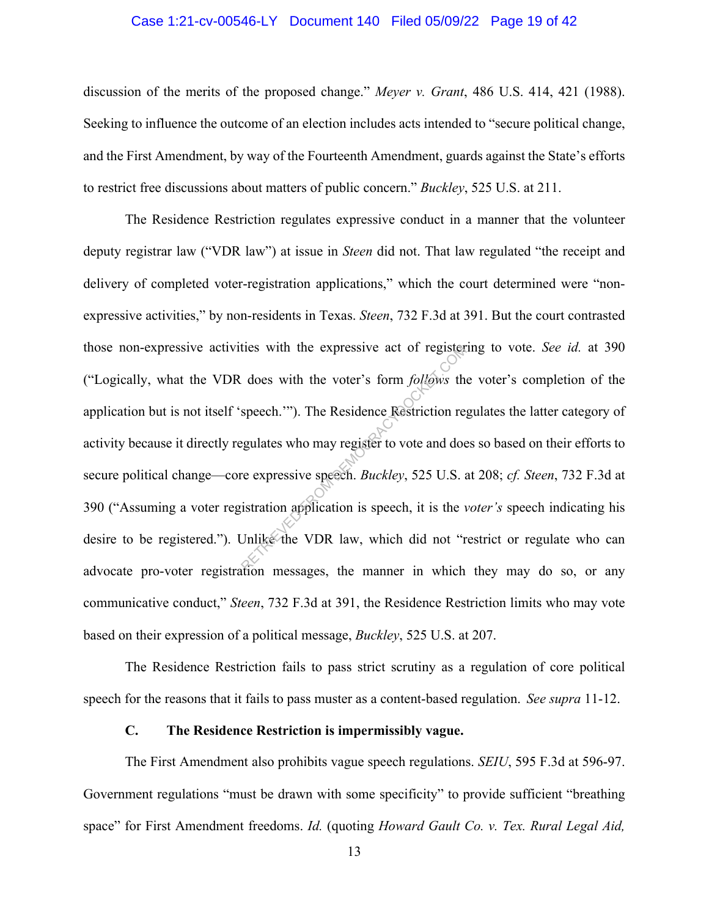### Case 1:21-cv-00546-LY Document 140 Filed 05/09/22 Page 19 of 42

discussion of the merits of the proposed change." *Meyer v. Grant*, 486 U.S. 414, 421 (1988). Seeking to influence the outcome of an election includes acts intended to "secure political change, and the First Amendment, by way of the Fourteenth Amendment, guards against the State's efforts to restrict free discussions about matters of public concern." *Buckley*, 525 U.S. at 211.

The Residence Restriction regulates expressive conduct in a manner that the volunteer deputy registrar law ("VDR law") at issue in *Steen* did not. That law regulated "the receipt and delivery of completed voter-registration applications," which the court determined were "nonexpressive activities," by non-residents in Texas. *Steen*, 732 F.3d at 391. But the court contrasted those non-expressive activities with the expressive act of registering to vote. *See id.* at 390 ("Logically, what the VDR does with the voter's form *follows* the voter's completion of the application but is not itself 'speech.'"). The Residence Restriction regulates the latter category of activity because it directly regulates who may register to vote and does so based on their efforts to secure political change—core expressive speech. *Buckley*, 525 U.S. at 208; *cf. Steen*, 732 F.3d at 390 ("Assuming a voter registration application is speech, it is the *voter's* speech indicating his desire to be registered."). Unlike the VDR law, which did not "restrict or regulate who can advocate pro-voter registration messages, the manner in which they may do so, or any communicative conduct," *Steen*, 732 F.3d at 391, the Residence Restriction limits who may vote based on their expression of a political message, *Buckley*, 525 U.S. at 207. the expressive act of register<br>
does with the voter's form *follows* the<br>
speech.'"). The Residence Restriction regulates who may register to vote and doe<br>
ce expressive speech. *Buckley*, 525 U.S. a<br>
sistration applicatio

The Residence Restriction fails to pass strict scrutiny as a regulation of core political speech for the reasons that it fails to pass muster as a content-based regulation. *See supra* 11-12.

#### **C. The Residence Restriction is impermissibly vague.**

The First Amendment also prohibits vague speech regulations. *SEIU*, 595 F.3d at 596-97. Government regulations "must be drawn with some specificity" to provide sufficient "breathing space" for First Amendment freedoms. *Id.* (quoting *Howard Gault Co. v. Tex. Rural Legal Aid,*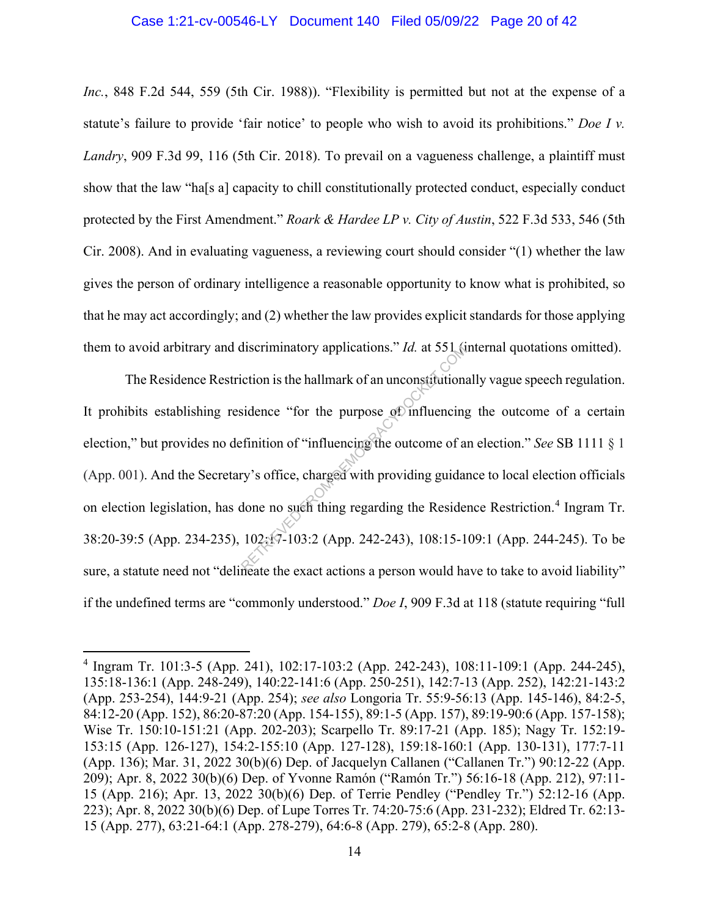### Case 1:21-cv-00546-LY Document 140 Filed 05/09/22 Page 20 of 42

*Inc.*, 848 F.2d 544, 559 (5th Cir. 1988)). "Flexibility is permitted but not at the expense of a statute's failure to provide 'fair notice' to people who wish to avoid its prohibitions." *Doe I v. Landry*, 909 F.3d 99, 116 (5th Cir. 2018). To prevail on a vagueness challenge, a plaintiff must show that the law "ha[s a] capacity to chill constitutionally protected conduct, especially conduct protected by the First Amendment." *Roark & Hardee LP v. City of Austin*, 522 F.3d 533, 546 (5th Cir. 2008). And in evaluating vagueness, a reviewing court should consider "(1) whether the law gives the person of ordinary intelligence a reasonable opportunity to know what is prohibited, so that he may act accordingly; and (2) whether the law provides explicit standards for those applying them to avoid arbitrary and discriminatory applications." *Id.* at 551 (internal quotations omitted).

The Residence Restriction is the hallmark of an unconstitutionally vague speech regulation. It prohibits establishing residence "for the purpose of influencing the outcome of a certain election," but provides no definition of "influencing the outcome of an election." *See* SB 1111 § 1 (App. 001). And the Secretary's office, charged with providing guidance to local election officials on election legislation, has done no such thing regarding the Residence Restriction.<sup>4</sup> Ingram Tr. 38:20-39:5 (App. 234-235), 102:17-103:2 (App. 242-243), 108:15-109:1 (App. 244-245). To be sure, a statute need not "delineate the exact actions a person would have to take to avoid liability" if the undefined terms are "commonly understood." *Doe I*, 909 F.3d at 118 (statute requiring "full discriminatory applications." *Id.* at 551 (if<br>iction is the hallmark of an unconstitutions<br>sidence "for the purpose of influencing<br>finition of "influencing the outcome of a<br>ry's office, charged with providing guidar<br>done

<sup>4</sup> Ingram Tr. 101:3-5 (App. 241), 102:17-103:2 (App. 242-243), 108:11-109:1 (App. 244-245), 135:18-136:1 (App. 248-249), 140:22-141:6 (App. 250-251), 142:7-13 (App. 252), 142:21-143:2 (App. 253-254), 144:9-21 (App. 254); *see also* Longoria Tr. 55:9-56:13 (App. 145-146), 84:2-5, 84:12-20 (App. 152), 86:20-87:20 (App. 154-155), 89:1-5 (App. 157), 89:19-90:6 (App. 157-158); Wise Tr. 150:10-151:21 (App. 202-203); Scarpello Tr. 89:17-21 (App. 185); Nagy Tr. 152:19- 153:15 (App. 126-127), 154:2-155:10 (App. 127-128), 159:18-160:1 (App. 130-131), 177:7-11 (App. 136); Mar. 31, 2022 30(b)(6) Dep. of Jacquelyn Callanen ("Callanen Tr.") 90:12-22 (App. 209); Apr. 8, 2022 30(b)(6) Dep. of Yvonne Ramón ("Ramón Tr.") 56:16-18 (App. 212), 97:11- 15 (App. 216); Apr. 13, 2022 30(b)(6) Dep. of Terrie Pendley ("Pendley Tr.") 52:12-16 (App. 223); Apr. 8, 2022 30(b)(6) Dep. of Lupe Torres Tr. 74:20-75:6 (App. 231-232); Eldred Tr. 62:13- 15 (App. 277), 63:21-64:1 (App. 278-279), 64:6-8 (App. 279), 65:2-8 (App. 280).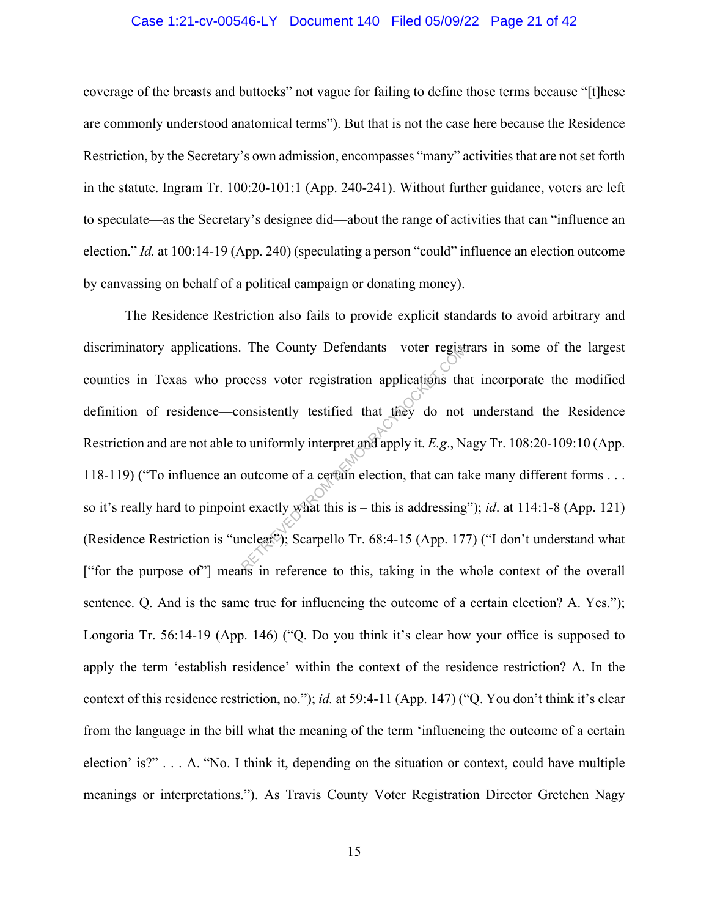### Case 1:21-cv-00546-LY Document 140 Filed 05/09/22 Page 21 of 42

coverage of the breasts and buttocks" not vague for failing to define those terms because "[t]hese are commonly understood anatomical terms"). But that is not the case here because the Residence Restriction, by the Secretary's own admission, encompasses "many" activities that are not set forth in the statute. Ingram Tr. 100:20-101:1 (App. 240-241). Without further guidance, voters are left to speculate—as the Secretary's designee did—about the range of activities that can "influence an election." *Id.* at 100:14-19 (App. 240) (speculating a person "could" influence an election outcome by canvassing on behalf of a political campaign or donating money).

The Residence Restriction also fails to provide explicit standards to avoid arbitrary and discriminatory applications. The County Defendants—voter registrars in some of the largest counties in Texas who process voter registration applications that incorporate the modified definition of residence—consistently testified that they do not understand the Residence Restriction and are not able to uniformly interpret and apply it. *E.g*., Nagy Tr. 108:20-109:10 (App. 118-119) ("To influence an outcome of a certain election, that can take many different forms . . . so it's really hard to pinpoint exactly what this is – this is addressing"); *id*. at 114:1-8 (App. 121) (Residence Restriction is "unclear"); Scarpello Tr. 68:4-15 (App. 177) ("I don't understand what ["for the purpose of"] means in reference to this, taking in the whole context of the overall sentence. Q. And is the same true for influencing the outcome of a certain election? A. Yes."); Longoria Tr. 56:14-19 (App. 146) ("Q. Do you think it's clear how your office is supposed to apply the term 'establish residence' within the context of the residence restriction? A. In the context of this residence restriction, no."); *id.* at 59:4-11 (App. 147) ("Q. You don't think it's clear from the language in the bill what the meaning of the term 'influencing the outcome of a certain election' is?" . . . A. "No. I think it, depending on the situation or context, could have multiple meanings or interpretations."). As Travis County Voter Registration Director Gretchen Nagy The County Detendants—voter regist<br>because voter registration applications that<br>onsistently testified that they do not<br>o uniformly interpret and apply it. E.g., N.<br>outcome of a certain election, that can ta<br>t exactly what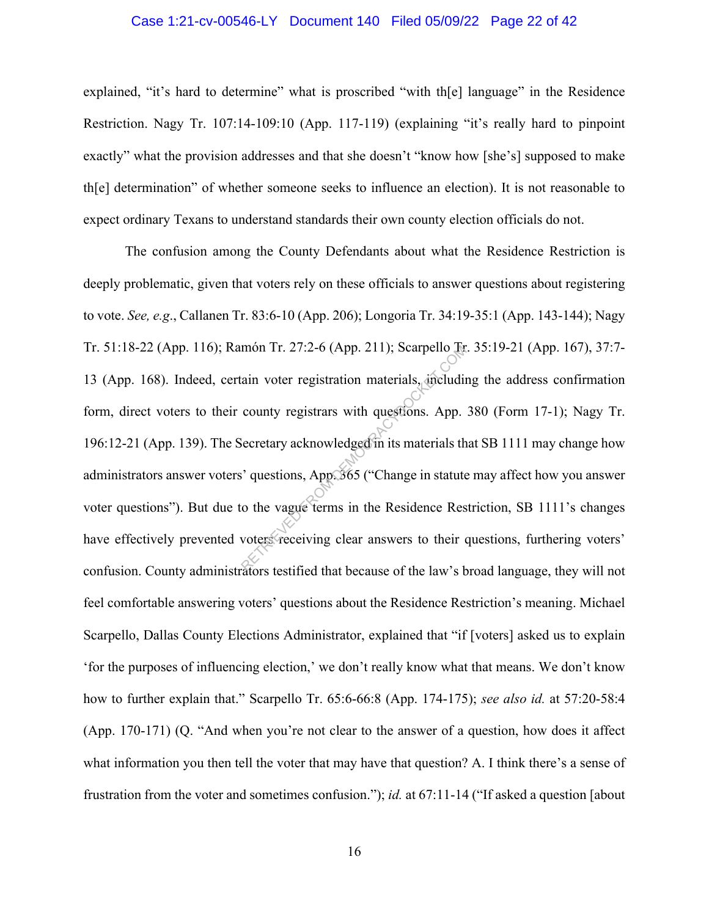#### Case 1:21-cv-00546-LY Document 140 Filed 05/09/22 Page 22 of 42

explained, "it's hard to determine" what is proscribed "with the el language" in the Residence Restriction. Nagy Tr. 107:14-109:10 (App. 117-119) (explaining "it's really hard to pinpoint exactly" what the provision addresses and that she doesn't "know how [she's] supposed to make th[e] determination" of whether someone seeks to influence an election). It is not reasonable to expect ordinary Texans to understand standards their own county election officials do not.

The confusion among the County Defendants about what the Residence Restriction is deeply problematic, given that voters rely on these officials to answer questions about registering to vote. *See, e.g*., Callanen Tr. 83:6-10 (App. 206); Longoria Tr. 34:19-35:1 (App. 143-144); Nagy Tr. 51:18-22 (App. 116); Ramón Tr. 27:2-6 (App. 211); Scarpello Tr. 35:19-21 (App. 167), 37:7- 13 (App. 168). Indeed, certain voter registration materials, including the address confirmation form, direct voters to their county registrars with questions. App. 380 (Form 17-1); Nagy Tr. 196:12-21 (App. 139). The Secretary acknowledged in its materials that SB 1111 may change how administrators answer voters' questions, App. 365 ("Change in statute may affect how you answer voter questions"). But due to the vague terms in the Residence Restriction, SB 1111's changes have effectively prevented voters receiving clear answers to their questions, furthering voters' confusion. County administrators testified that because of the law's broad language, they will not feel comfortable answering voters' questions about the Residence Restriction's meaning. Michael Scarpello, Dallas County Elections Administrator, explained that "if [voters] asked us to explain 'for the purposes of influencing election,' we don't really know what that means. We don't know how to further explain that." Scarpello Tr. 65:6-66:8 (App. 174-175); *see also id.* at 57:20-58:4 (App. 170-171) (Q. "And when you're not clear to the answer of a question, how does it affect what information you then tell the voter that may have that question? A. I think there's a sense of frustration from the voter and sometimes confusion."); *id.* at 67:11-14 ("If asked a question [about mon Tr. 27:2-6 (App. 211); Scarpello Italian<br>ain voter registration materials, including<br>county registrars with questions. App.<br>lecretary acknowledged in its materials the<br>corrections, App. 365 ("Change in statute<br>o the va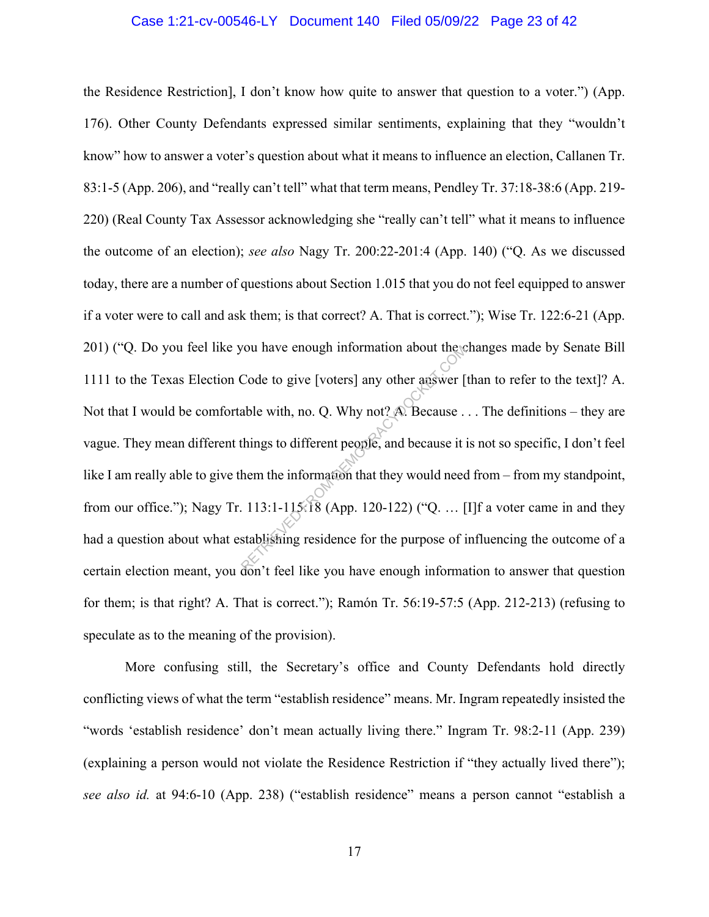### Case 1:21-cv-00546-LY Document 140 Filed 05/09/22 Page 23 of 42

the Residence Restriction], I don't know how quite to answer that question to a voter.") (App. 176). Other County Defendants expressed similar sentiments, explaining that they "wouldn't know" how to answer a voter's question about what it means to influence an election, Callanen Tr. 83:1-5 (App. 206), and "really can't tell" what that term means, Pendley Tr. 37:18-38:6 (App. 219- 220) (Real County Tax Assessor acknowledging she "really can't tell" what it means to influence the outcome of an election); *see also* Nagy Tr. 200:22-201:4 (App. 140) ("Q. As we discussed today, there are a number of questions about Section 1.015 that you do not feel equipped to answer if a voter were to call and ask them; is that correct? A. That is correct."); Wise Tr. 122:6-21 (App. 201) ("Q. Do you feel like you have enough information about the changes made by Senate Bill 1111 to the Texas Election Code to give [voters] any other answer [than to refer to the text]? A. Not that I would be comfortable with, no. Q. Why not? A. Because . . . The definitions – they are vague. They mean different things to different people, and because it is not so specific, I don't feel like I am really able to give them the information that they would need from – from my standpoint, from our office."); Nagy Tr. 113:1-115:18 (App. 120-122) ("Q. … [I]f a voter came in and they had a question about what establishing residence for the purpose of influencing the outcome of a certain election meant, you don't feel like you have enough information to answer that question for them; is that right? A. That is correct."); Ramón Tr. 56:19-57:5 (App. 212-213) (refusing to speculate as to the meaning of the provision). Nou have enough information about the conduction of the Code to give [voters] any other answer [<br>able with, no. Q. Why not? A. Because .<br>things to different people, and because it is<br>them the information that they would n

More confusing still, the Secretary's office and County Defendants hold directly conflicting views of what the term "establish residence" means. Mr. Ingram repeatedly insisted the "words 'establish residence' don't mean actually living there." Ingram Tr. 98:2-11 (App. 239) (explaining a person would not violate the Residence Restriction if "they actually lived there"); *see also id.* at 94:6-10 (App. 238) ("establish residence" means a person cannot "establish a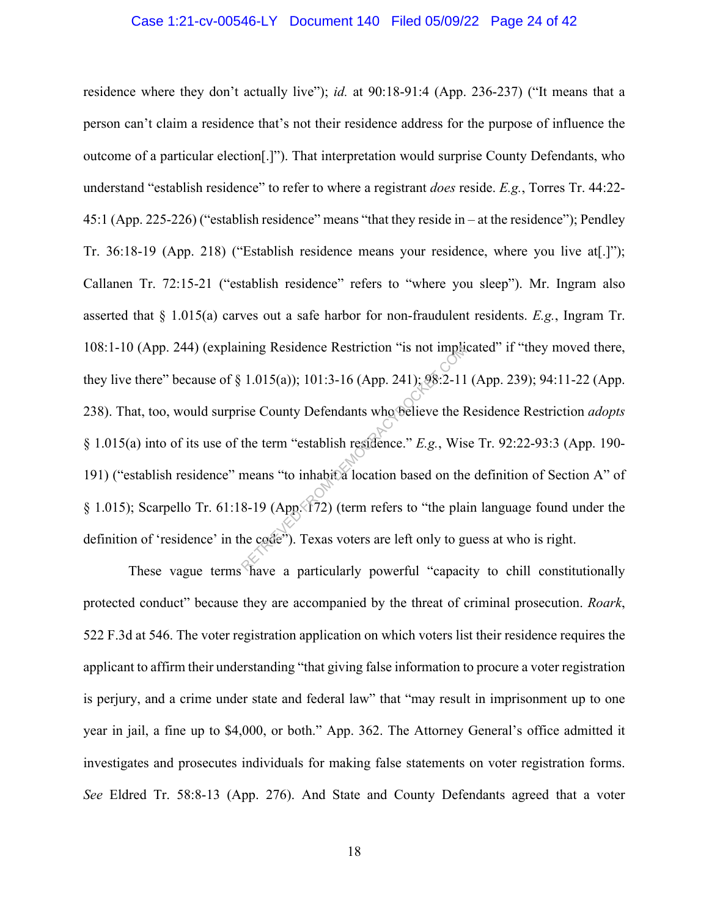#### Case 1:21-cv-00546-LY Document 140 Filed 05/09/22 Page 24 of 42

residence where they don't actually live"); *id.* at 90:18-91:4 (App. 236-237) ("It means that a person can't claim a residence that's not their residence address for the purpose of influence the outcome of a particular election[.]"). That interpretation would surprise County Defendants, who understand "establish residence" to refer to where a registrant *does* reside. *E.g.*, Torres Tr. 44:22- 45:1 (App. 225-226) ("establish residence" means "that they reside in – at the residence"); Pendley Tr. 36:18-19 (App. 218) ("Establish residence means your residence, where you live at[.]"); Callanen Tr. 72:15-21 ("establish residence" refers to "where you sleep"). Mr. Ingram also asserted that § 1.015(a) carves out a safe harbor for non-fraudulent residents. *E.g.*, Ingram Tr. 108:1-10 (App. 244) (explaining Residence Restriction "is not implicated" if "they moved there, they live there" because of § 1.015(a)); 101:3-16 (App. 241); 98:2-11 (App. 239); 94:11-22 (App. 238). That, too, would surprise County Defendants who believe the Residence Restriction *adopts*  § 1.015(a) into of its use of the term "establish residence." *E.g.*, Wise Tr. 92:22-93:3 (App. 190- 191) ("establish residence" means "to inhabit a location based on the definition of Section A" of § 1.015); Scarpello Tr. 61:18-19 (App. 172) (term refers to "the plain language found under the definition of 'residence' in the code"). Texas voters are left only to guess at who is right. ning Residence Restriction "is not imputed in the 1.015(a)); 101:3-16 (App. 241); 98:2-11<br>ise County Defendants who believe the H<br>the term "establish residence."  $E.g.,$  Wis<br>means "to inhabita location based on the<br>8-19 (Ap

These vague terms have a particularly powerful "capacity to chill constitutionally protected conduct" because they are accompanied by the threat of criminal prosecution. *Roark*, 522 F.3d at 546. The voter registration application on which voters list their residence requires the applicant to affirm their understanding "that giving false information to procure a voter registration is perjury, and a crime under state and federal law" that "may result in imprisonment up to one year in jail, a fine up to \$4,000, or both." App. 362. The Attorney General's office admitted it investigates and prosecutes individuals for making false statements on voter registration forms. *See* Eldred Tr. 58:8-13 (App. 276). And State and County Defendants agreed that a voter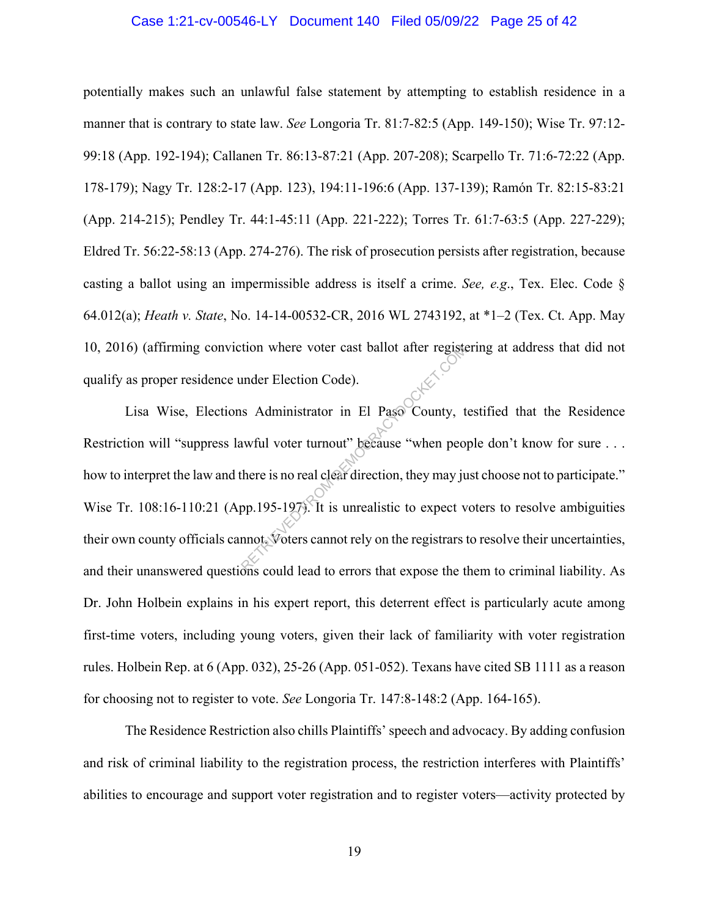### Case 1:21-cv-00546-LY Document 140 Filed 05/09/22 Page 25 of 42

potentially makes such an unlawful false statement by attempting to establish residence in a manner that is contrary to state law. *See* Longoria Tr. 81:7-82:5 (App. 149-150); Wise Tr. 97:12- 99:18 (App. 192-194); Callanen Tr. 86:13-87:21 (App. 207-208); Scarpello Tr. 71:6-72:22 (App. 178-179); Nagy Tr. 128:2-17 (App. 123), 194:11-196:6 (App. 137-139); Ramón Tr. 82:15-83:21 (App. 214-215); Pendley Tr. 44:1-45:11 (App. 221-222); Torres Tr. 61:7-63:5 (App. 227-229); Eldred Tr. 56:22-58:13 (App. 274-276). The risk of prosecution persists after registration, because casting a ballot using an impermissible address is itself a crime. *See, e.g*., Tex. Elec. Code § 64.012(a); *Heath v. State*, No. 14-14-00532-CR, 2016 WL 2743192, at \*1–2 (Tex. Ct. App. May 10, 2016) (affirming conviction where voter cast ballot after registering at address that did not qualify as proper residence under Election Code).

Lisa Wise, Elections Administrator in El Paso County, testified that the Residence Restriction will "suppress lawful voter turnout" because "when people don't know for sure . . . how to interpret the law and there is no real clear direction, they may just choose not to participate." Wise Tr. 108:16-110:21 (App.195-197). It is unrealistic to expect voters to resolve ambiguities their own county officials cannot. Voters cannot rely on the registrars to resolve their uncertainties, and their unanswered questions could lead to errors that expose the them to criminal liability. As Dr. John Holbein explains in his expert report, this deterrent effect is particularly acute among first-time voters, including young voters, given their lack of familiarity with voter registration rules. Holbein Rep. at 6 (App. 032), 25-26 (App. 051-052). Texans have cited SB 1111 as a reason for choosing not to register to vote. *See* Longoria Tr. 147:8-148:2 (App. 164-165). The Voter cast ballot after registed and the Election Code).<br>
In Administrator in El Paso County, the wiful voter turnout" because "when people when people is no real clear direction, they may jupp. 195-1979. It is unreali

The Residence Restriction also chills Plaintiffs' speech and advocacy. By adding confusion and risk of criminal liability to the registration process, the restriction interferes with Plaintiffs' abilities to encourage and support voter registration and to register voters—activity protected by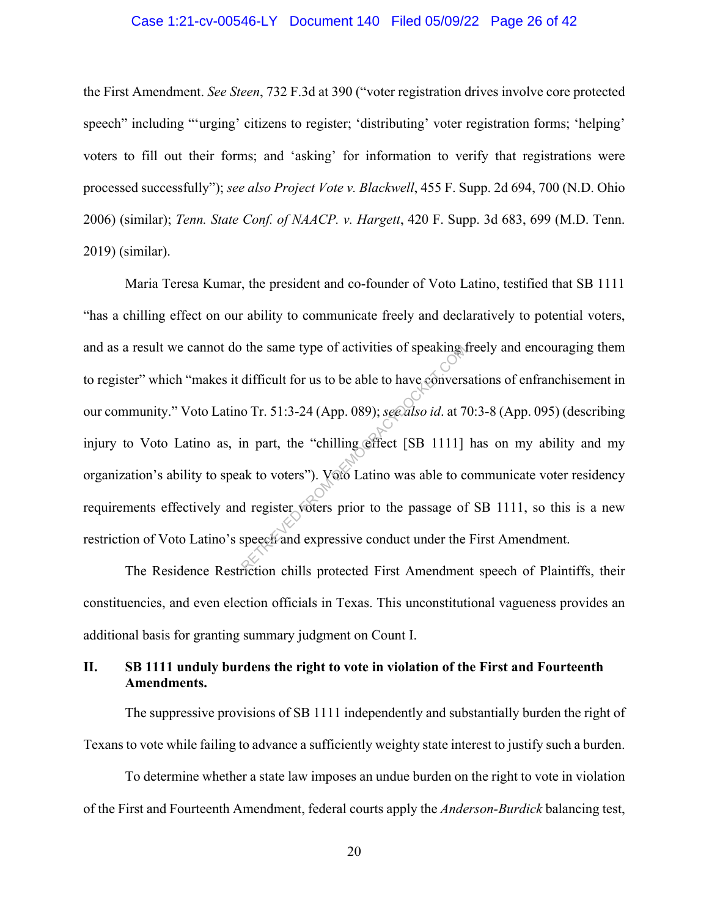### Case 1:21-cv-00546-LY Document 140 Filed 05/09/22 Page 26 of 42

the First Amendment. *See Steen*, 732 F.3d at 390 ("voter registration drives involve core protected speech" including "'urging' citizens to register; 'distributing' voter registration forms; 'helping' voters to fill out their forms; and 'asking' for information to verify that registrations were processed successfully"); *see also Project Vote v. Blackwell*, 455 F. Supp. 2d 694, 700 (N.D. Ohio 2006) (similar); *Tenn. State Conf. of NAACP. v. Hargett*, 420 F. Supp. 3d 683, 699 (M.D. Tenn. 2019) (similar).

Maria Teresa Kumar, the president and co-founder of Voto Latino, testified that SB 1111 "has a chilling effect on our ability to communicate freely and declaratively to potential voters, and as a result we cannot do the same type of activities of speaking freely and encouraging them to register" which "makes it difficult for us to be able to have conversations of enfranchisement in our community." Voto Latino Tr. 51:3-24 (App. 089); *see also id*. at 70:3-8 (App. 095) (describing injury to Voto Latino as, in part, the "chilling effect [SB 1111] has on my ability and my organization's ability to speak to voters"). Voto Latino was able to communicate voter residency requirements effectively and register voters prior to the passage of SB 1111, so this is a new restriction of Voto Latino's speech and expressive conduct under the First Amendment. The same type of activities of speaking<br>difficult for us to be able to have conversed of Tr. 51:3-24 (App. 089); see also id. at 7<br>in part, the "chilling effect [SB 1111]<br>ak to voters"). Voto Latino was able to complete de

The Residence Restriction chills protected First Amendment speech of Plaintiffs, their constituencies, and even election officials in Texas. This unconstitutional vagueness provides an additional basis for granting summary judgment on Count I.

## **II. SB 1111 unduly burdens the right to vote in violation of the First and Fourteenth Amendments.**

The suppressive provisions of SB 1111 independently and substantially burden the right of Texans to vote while failing to advance a sufficiently weighty state interest to justify such a burden.

To determine whether a state law imposes an undue burden on the right to vote in violation of the First and Fourteenth Amendment, federal courts apply the *Anderson-Burdick* balancing test,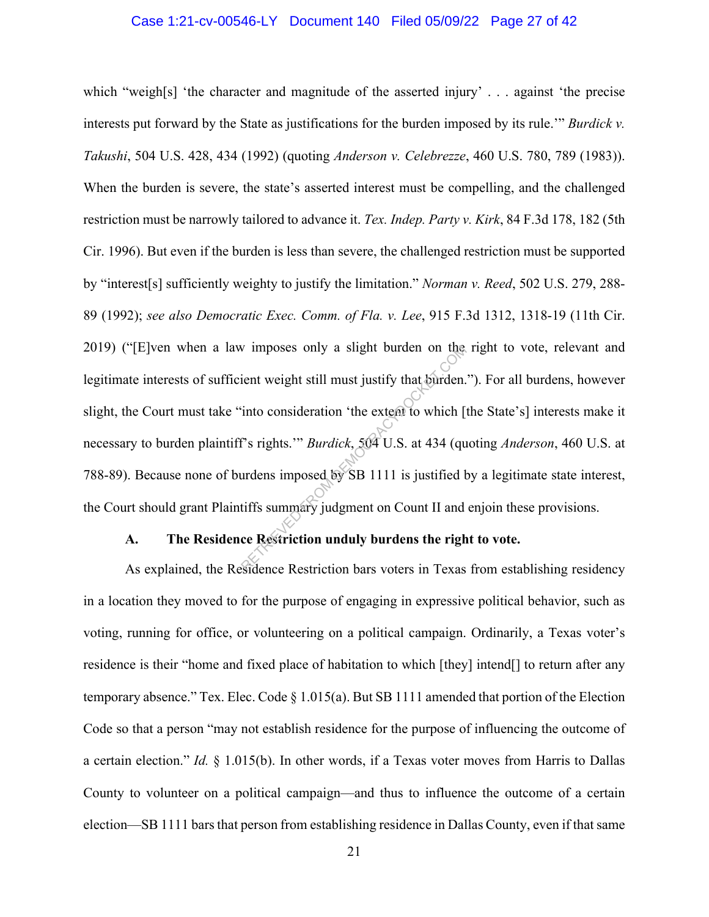### Case 1:21-cv-00546-LY Document 140 Filed 05/09/22 Page 27 of 42

which "weigh[s] 'the character and magnitude of the asserted injury' . . . against 'the precise interests put forward by the State as justifications for the burden imposed by its rule.'" *Burdick v. Takushi*, 504 U.S. 428, 434 (1992) (quoting *Anderson v. Celebrezze*, 460 U.S. 780, 789 (1983)). When the burden is severe, the state's asserted interest must be compelling, and the challenged restriction must be narrowly tailored to advance it. *Tex. Indep. Party v. Kirk*, 84 F.3d 178, 182 (5th Cir. 1996). But even if the burden is less than severe, the challenged restriction must be supported by "interest[s] sufficiently weighty to justify the limitation." *Norman v. Reed*, 502 U.S. 279, 288- 89 (1992); *see also Democratic Exec. Comm. of Fla. v. Lee*, 915 F.3d 1312, 1318-19 (11th Cir. 2019) ("[E]ven when a law imposes only a slight burden on the right to vote, relevant and legitimate interests of sufficient weight still must justify that burden."). For all burdens, however slight, the Court must take "into consideration 'the extent to which [the State's] interests make it necessary to burden plaintiff's rights.'" *Burdick*, 504 U.S. at 434 (quoting *Anderson*, 460 U.S. at 788-89). Because none of burdens imposed by SB 1111 is justified by a legitimate state interest, the Court should grant Plaintiffs summary judgment on Count II and enjoin these provisions. w imposes only a slight burden on the<br>ient weight still must justify that burden.<br>into consideration 'the extent to which [<br>is rights.'" *Burdick*, 504 U.S. at 434 (qu<br>urdens imposed by SB 1111 is justified b<br>tiffs summary

#### **A. The Residence Restriction unduly burdens the right to vote.**

As explained, the Residence Restriction bars voters in Texas from establishing residency in a location they moved to for the purpose of engaging in expressive political behavior, such as voting, running for office, or volunteering on a political campaign. Ordinarily, a Texas voter's residence is their "home and fixed place of habitation to which [they] intend[] to return after any temporary absence." Tex. Elec. Code § 1.015(a). But SB 1111 amended that portion of the Election Code so that a person "may not establish residence for the purpose of influencing the outcome of a certain election." *Id.* § 1.015(b). In other words, if a Texas voter moves from Harris to Dallas County to volunteer on a political campaign—and thus to influence the outcome of a certain election—SB 1111 bars that person from establishing residence in Dallas County, even if that same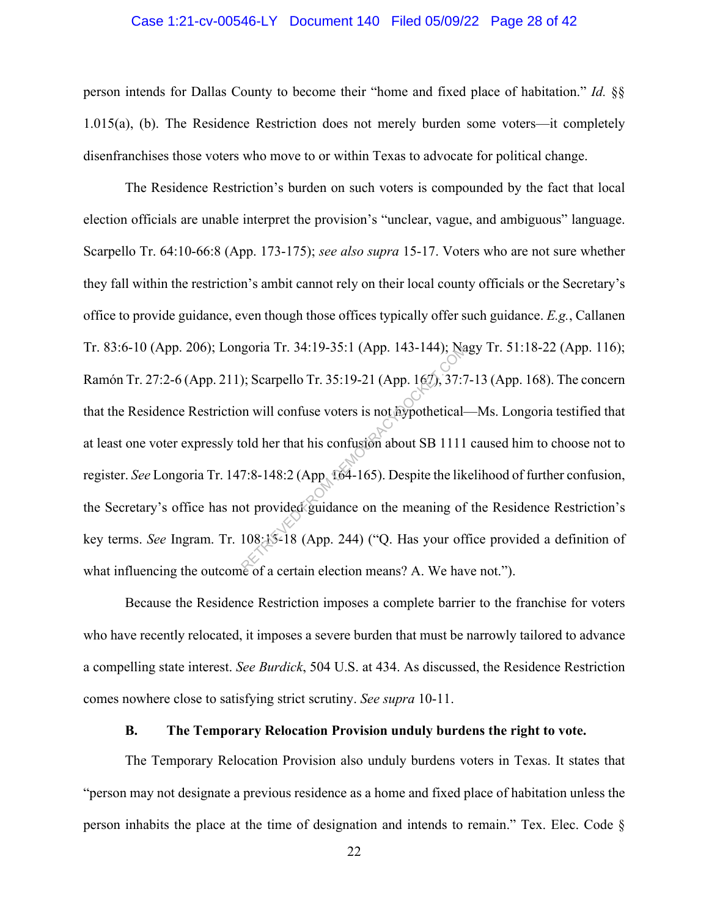### Case 1:21-cv-00546-LY Document 140 Filed 05/09/22 Page 28 of 42

person intends for Dallas County to become their "home and fixed place of habitation." *Id.* §§ 1.015(a), (b). The Residence Restriction does not merely burden some voters—it completely disenfranchises those voters who move to or within Texas to advocate for political change.

The Residence Restriction's burden on such voters is compounded by the fact that local election officials are unable interpret the provision's "unclear, vague, and ambiguous" language. Scarpello Tr. 64:10-66:8 (App. 173-175); *see also supra* 15-17. Voters who are not sure whether they fall within the restriction's ambit cannot rely on their local county officials or the Secretary's office to provide guidance, even though those offices typically offer such guidance. *E.g.*, Callanen Tr. 83:6-10 (App. 206); Longoria Tr. 34:19-35:1 (App. 143-144); Nagy Tr. 51:18-22 (App. 116); Ramón Tr. 27:2-6 (App. 211); Scarpello Tr. 35:19-21 (App. 167), 37:7-13 (App. 168). The concern that the Residence Restriction will confuse voters is not hypothetical—Ms. Longoria testified that at least one voter expressly told her that his confusion about SB 1111 caused him to choose not to register. *See* Longoria Tr. 147:8-148:2 (App. 164-165). Despite the likelihood of further confusion, the Secretary's office has not provided guidance on the meaning of the Residence Restriction's key terms. *See* Ingram. Tr. 108:15-18 (App. 244) ("Q. Has your office provided a definition of what influencing the outcome of a certain election means? A. We have not."). goria Ir. 34:19-35:1 (App. 143-144); Na<br>
(app. 167), 37:7<br>
(b) Scarpello Tr. 35:19-21 (App. 167), 37:7<br>
(b) will confuse voters is not hypothetical-<br>
(b) SCALE (App. 164-165). Despite the like<br>
ot provided guidance on the

Because the Residence Restriction imposes a complete barrier to the franchise for voters who have recently relocated, it imposes a severe burden that must be narrowly tailored to advance a compelling state interest. *See Burdick*, 504 U.S. at 434. As discussed, the Residence Restriction comes nowhere close to satisfying strict scrutiny. *See supra* 10-11.

#### **B. The Temporary Relocation Provision unduly burdens the right to vote.**

The Temporary Relocation Provision also unduly burdens voters in Texas. It states that "person may not designate a previous residence as a home and fixed place of habitation unless the person inhabits the place at the time of designation and intends to remain." Tex. Elec. Code §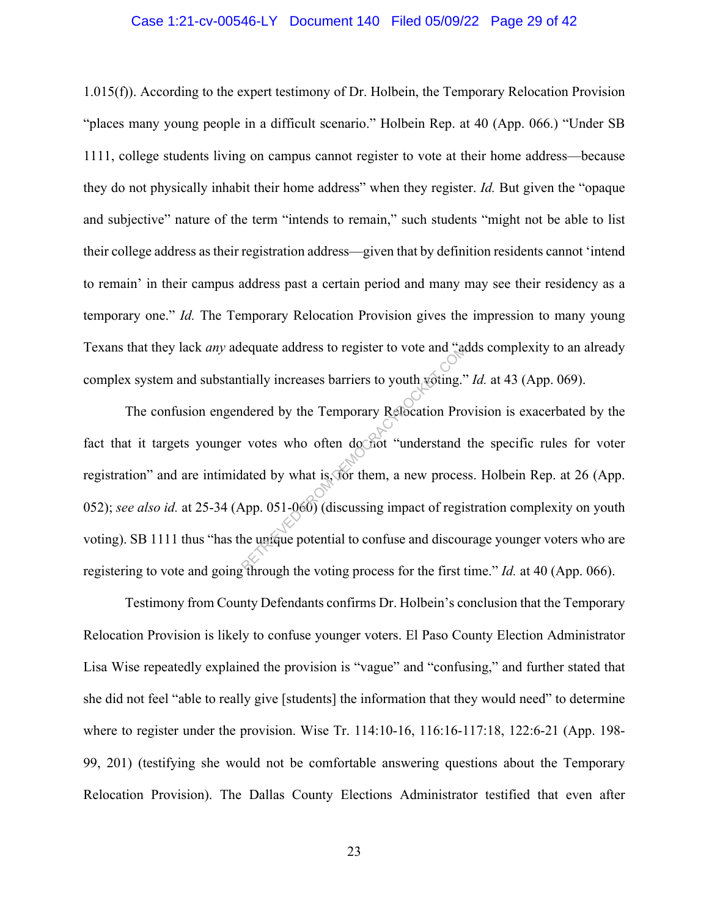#### Case 1:21-cv-00546-LY Document 140 Filed 05/09/22 Page 29 of 42

1.015(f)). According to the expert testimony of Dr. Holbein, the Temporary Relocation Provision "places many young people in a difficult scenario." Holbein Rep. at 40 (App. 066.) "Under SB 1111, college students living on campus cannot register to vote at their home address—because they do not physically inhabit their home address" when they register. *Id.* But given the "opaque and subjective" nature of the term "intends to remain," such students "might not be able to list their college address as their registration address—given that by definition residents cannot 'intend to remain' in their campus address past a certain period and many may see their residency as a temporary one." *Id.* The Temporary Relocation Provision gives the impression to many young Texans that they lack *any* adequate address to register to vote and "adds complexity to an already complex system and substantially increases barriers to youth voting." *Id.* at 43 (App. 069).

The confusion engendered by the Temporary Relocation Provision is exacerbated by the fact that it targets younger votes who often do not "understand the specific rules for voter registration" and are intimidated by what is, for them, a new process. Holbein Rep. at 26 (App. 052); see also id. at 25-34 (App. 051-060) (discussing impact of registration complexity on youth voting). SB 1111 thus "has the unique potential to confuse and discourage younger voters who are registering to vote and going through the voting process for the first time." *Id.* at 40 (App. 066). Equate address to register to vote and "additially increases barriers to youth voting."<br>
Indered by the Temporary Reflocation Providers who often do not "understand<br>
lated by what is, for them, a new proces<br>
App. 051-060)

Testimony from County Defendants confirms Dr. Holbein's conclusion that the Temporary Relocation Provision is likely to confuse younger voters. El Paso County Election Administrator Lisa Wise repeatedly explained the provision is "vague" and "confusing," and further stated that she did not feel "able to really give [students] the information that they would need" to determine where to register under the provision. Wise Tr. 114:10-16, 116:16-117:18, 122:6-21 (App. 198- 99, 201) (testifying she would not be comfortable answering questions about the Temporary Relocation Provision). The Dallas County Elections Administrator testified that even after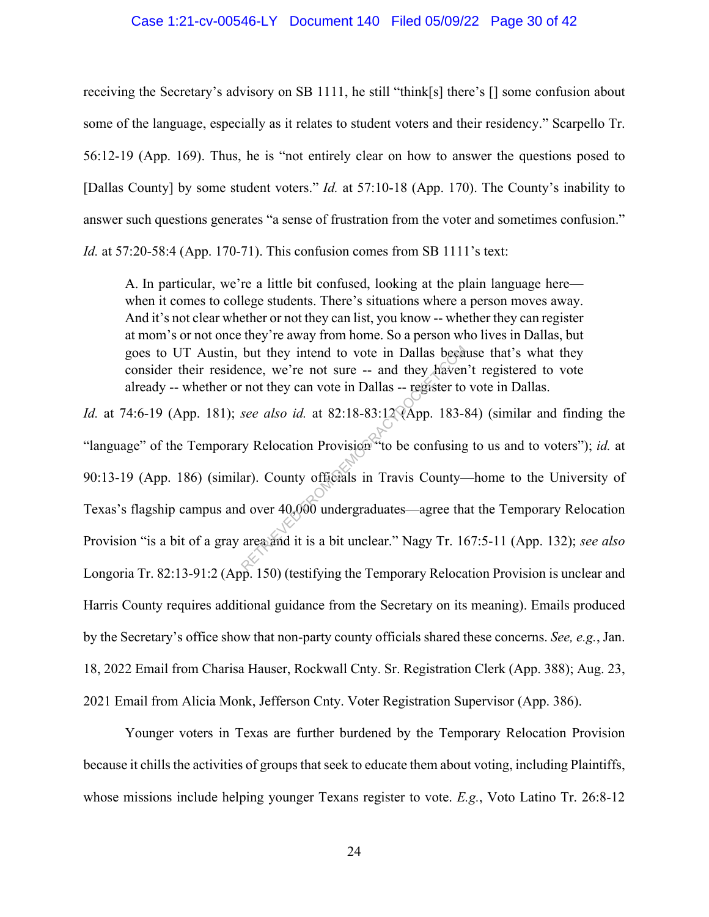#### Case 1:21-cv-00546-LY Document 140 Filed 05/09/22 Page 30 of 42

receiving the Secretary's advisory on SB 1111, he still "think[s] there's [] some confusion about some of the language, especially as it relates to student voters and their residency." Scarpello Tr. 56:12-19 (App. 169). Thus, he is "not entirely clear on how to answer the questions posed to [Dallas County] by some student voters." *Id.* at 57:10-18 (App. 170). The County's inability to answer such questions generates "a sense of frustration from the voter and sometimes confusion." *Id.* at 57:20-58:4 (App. 170-71). This confusion comes from SB 1111's text:

A. In particular, we're a little bit confused, looking at the plain language here when it comes to college students. There's situations where a person moves away. And it's not clear whether or not they can list, you know -- whether they can register at mom's or not once they're away from home. So a person who lives in Dallas, but goes to UT Austin, but they intend to vote in Dallas because that's what they consider their residence, we're not sure -- and they haven't registered to vote already -- whether or not they can vote in Dallas -- register to vote in Dallas.

*Id.* at 74:6-19 (App. 181); *see also id.* at 82:18-83:12 (App. 183-84) (similar and finding the "language" of the Temporary Relocation Provision "to be confusing to us and to voters"); *id.* at 90:13-19 (App. 186) (similar). County officials in Travis County—home to the University of Texas's flagship campus and over 40,000 undergraduates—agree that the Temporary Relocation Provision "is a bit of a gray area and it is a bit unclear." Nagy Tr. 167:5-11 (App. 132); *see also*  Longoria Tr. 82:13-91:2 (App. 150) (testifying the Temporary Relocation Provision is unclear and Harris County requires additional guidance from the Secretary on its meaning). Emails produced by the Secretary's office show that non-party county officials shared these concerns. *See, e.g.*, Jan. 18, 2022 Email from Charisa Hauser, Rockwall Cnty. Sr. Registration Clerk (App. 388); Aug. 23, 2021 Email from Alicia Monk, Jefferson Cnty. Voter Registration Supervisor (App. 386). but they intend to vote in Dallas became.<br>
ence, we're not sure -- and they haven<br>
not they can vote in Dallas -- register to<br>
see also id. at 82:18-83:12 (App. 183-8<br>
y Relocation Provision to be confusing<br>
ar). County of

Younger voters in Texas are further burdened by the Temporary Relocation Provision because it chills the activities of groups that seek to educate them about voting, including Plaintiffs, whose missions include helping younger Texans register to vote. *E.g.*, Voto Latino Tr. 26:8-12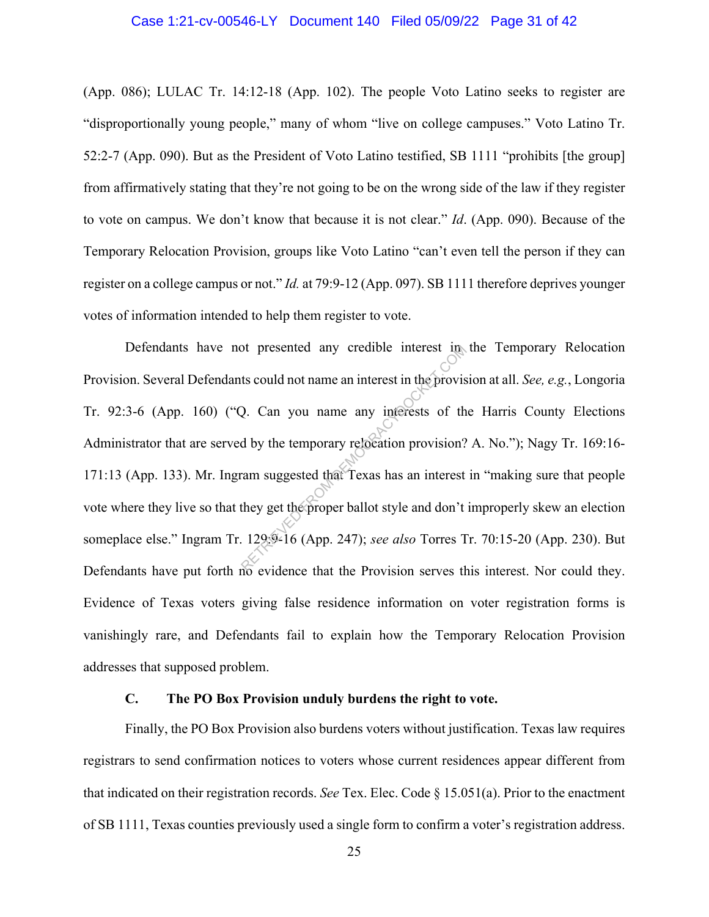### Case 1:21-cv-00546-LY Document 140 Filed 05/09/22 Page 31 of 42

(App. 086); LULAC Tr. 14:12-18 (App. 102). The people Voto Latino seeks to register are "disproportionally young people," many of whom "live on college campuses." Voto Latino Tr. 52:2-7 (App. 090). But as the President of Voto Latino testified, SB 1111 "prohibits [the group] from affirmatively stating that they're not going to be on the wrong side of the law if they register to vote on campus. We don't know that because it is not clear." *Id*. (App. 090). Because of the Temporary Relocation Provision, groups like Voto Latino "can't even tell the person if they can register on a college campus or not." *Id.* at 79:9-12 (App. 097). SB 1111 therefore deprives younger votes of information intended to help them register to vote.

Defendants have not presented any credible interest in the Temporary Relocation Provision. Several Defendants could not name an interest in the provision at all. *See, e.g.*, Longoria Tr. 92:3-6 (App. 160) ("Q. Can you name any interests of the Harris County Elections Administrator that are served by the temporary relocation provision? A. No."); Nagy Tr. 169:16-171:13 (App. 133). Mr. Ingram suggested that Texas has an interest in "making sure that people vote where they live so that they get the proper ballot style and don't improperly skew an election someplace else." Ingram Tr. 129:9-16 (App. 247); *see also* Torres Tr. 70:15-20 (App. 230). But Defendants have put forth no evidence that the Provision serves this interest. Nor could they. Evidence of Texas voters giving false residence information on voter registration forms is vanishingly rare, and Defendants fail to explain how the Temporary Relocation Provision addresses that supposed problem. of presented any credible interest in<br>ts could not name an interest in the provision?<br>Q. Can you name any interests of the<br>d by the temporary relocation provision?<br>cam suggested that Texas has an interest<br>they get the prop

### **C. The PO Box Provision unduly burdens the right to vote.**

Finally, the PO Box Provision also burdens voters without justification. Texas law requires registrars to send confirmation notices to voters whose current residences appear different from that indicated on their registration records. *See* Tex. Elec. Code § 15.051(a). Prior to the enactment of SB 1111, Texas counties previously used a single form to confirm a voter's registration address.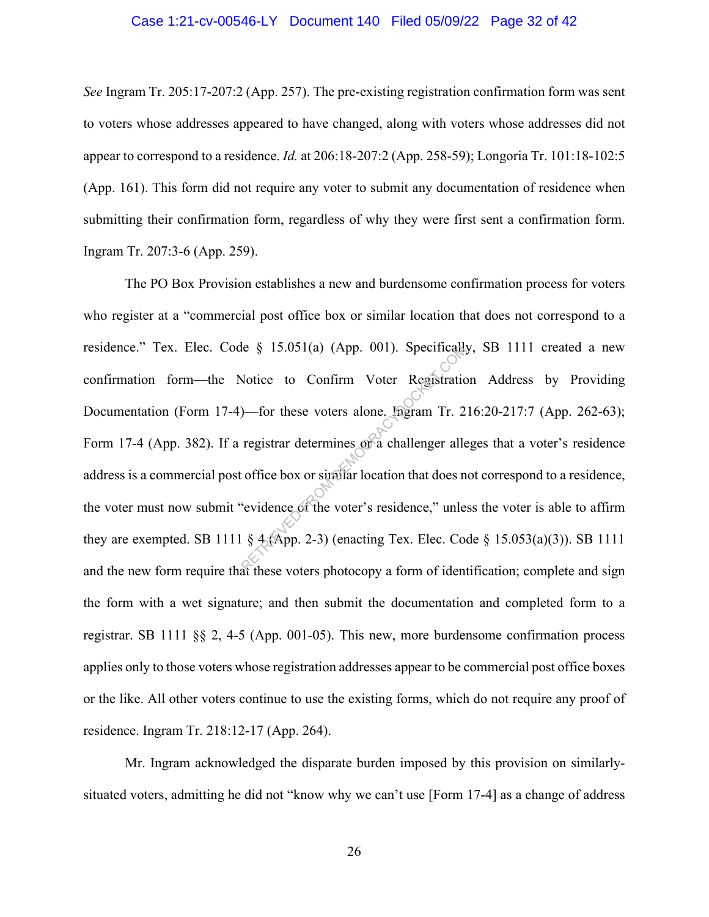#### Case 1:21-cv-00546-LY Document 140 Filed 05/09/22 Page 32 of 42

*See* Ingram Tr. 205:17-207:2 (App. 257). The pre-existing registration confirmation form was sent to voters whose addresses appeared to have changed, along with voters whose addresses did not appear to correspond to a residence. *Id.* at 206:18-207:2 (App. 258-59); Longoria Tr. 101:18-102:5 (App. 161). This form did not require any voter to submit any documentation of residence when submitting their confirmation form, regardless of why they were first sent a confirmation form. Ingram Tr. 207:3-6 (App. 259).

The PO Box Provision establishes a new and burdensome confirmation process for voters who register at a "commercial post office box or similar location that does not correspond to a residence." Tex. Elec. Code § 15.051(a) (App. 001). Specifically, SB 1111 created a new confirmation form—the Notice to Confirm Voter Registration Address by Providing Documentation (Form 17-4)—for these voters alone. Ingram Tr. 216:20-217:7 (App. 262-63); Form 17-4 (App. 382). If a registrar determines or a challenger alleges that a voter's residence address is a commercial post office box or similar location that does not correspond to a residence, the voter must now submit "evidence of the voter's residence," unless the voter is able to affirm they are exempted. SB 1111 § 4 (App. 2-3) (enacting Tex. Elec. Code § 15.053(a)(3)). SB 1111 and the new form require that these voters photocopy a form of identification; complete and sign the form with a wet signature; and then submit the documentation and completed form to a registrar. SB 1111 §§ 2, 4-5 (App. 001-05). This new, more burdensome confirmation process applies only to those voters whose registration addresses appear to be commercial post office boxes or the like. All other voters continue to use the existing forms, which do not require any proof of residence. Ingram Tr. 218:12-17 (App. 264). e § 15.051(a) (App. 001). Specifically<br>Notice to Confirm Voter Registration<br>)—for these voters alone. Ingram Tr. 2<br>registrar determines on a challenger alle<br>office box or similar location that does n<br>evidence of the voter'

Mr. Ingram acknowledged the disparate burden imposed by this provision on similarlysituated voters, admitting he did not "know why we can't use [Form 17-4] as a change of address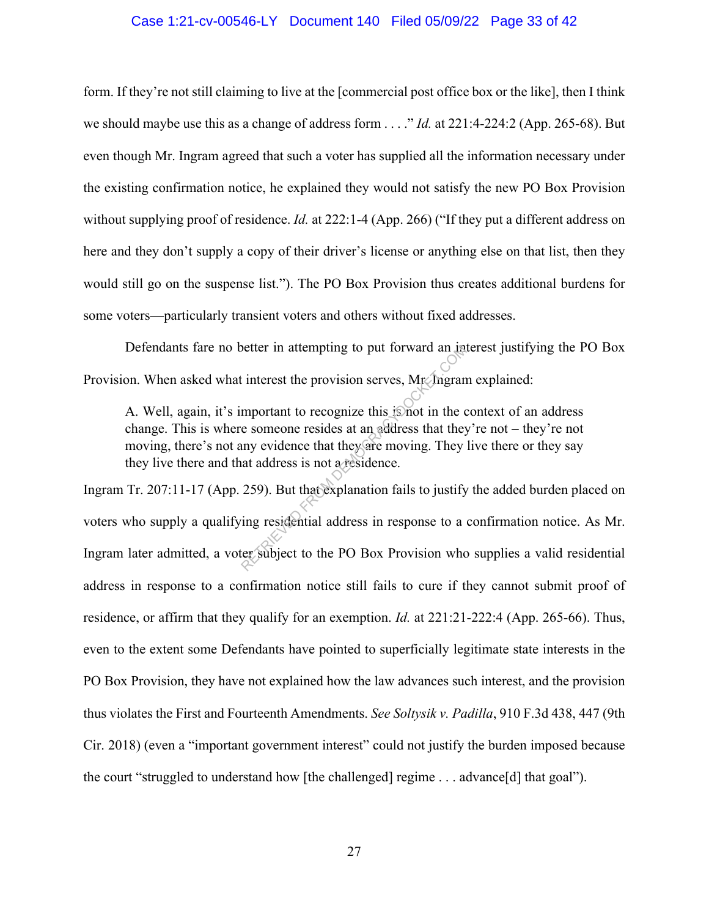### Case 1:21-cv-00546-LY Document 140 Filed 05/09/22 Page 33 of 42

form. If they're not still claiming to live at the [commercial post office box or the like], then I think we should maybe use this as a change of address form . . . ." *Id.* at 221:4-224:2 (App. 265-68). But even though Mr. Ingram agreed that such a voter has supplied all the information necessary under the existing confirmation notice, he explained they would not satisfy the new PO Box Provision without supplying proof of residence. *Id.* at 222:1-4 (App. 266) ("If they put a different address on here and they don't supply a copy of their driver's license or anything else on that list, then they would still go on the suspense list."). The PO Box Provision thus creates additional burdens for some voters—particularly transient voters and others without fixed addresses.

Defendants fare no better in attempting to put forward an interest justifying the PO Box Provision. When asked what interest the provision serves, Mr. Ingram explained:

A. Well, again, it's important to recognize this is not in the context of an address change. This is where someone resides at an address that they're not – they're not moving, there's not any evidence that they are moving. They live there or they say they live there and that address is not a residence.

Ingram Tr. 207:11-17 (App. 259). But that explanation fails to justify the added burden placed on voters who supply a qualifying residential address in response to a confirmation notice. As Mr. Ingram later admitted, a voter subject to the PO Box Provision who supplies a valid residential address in response to a confirmation notice still fails to cure if they cannot submit proof of residence, or affirm that they qualify for an exemption. *Id.* at 221:21-222:4 (App. 265-66). Thus, even to the extent some Defendants have pointed to superficially legitimate state interests in the PO Box Provision, they have not explained how the law advances such interest, and the provision thus violates the First and Fourteenth Amendments. *See Soltysik v. Padilla*, 910 F.3d 438, 447 (9th Cir. 2018) (even a "important government interest" could not justify the burden imposed because the court "struggled to understand how [the challenged] regime . . . advance[d] that goal"). Solution and the provision serves, Mr. Ingram<br>
interest the provision serves, Mr. Ingram<br>
mportant to recognize this is not in the c<br>
e someone resides at an address that they<br>
iny evidence that they are moving. They<br>
at a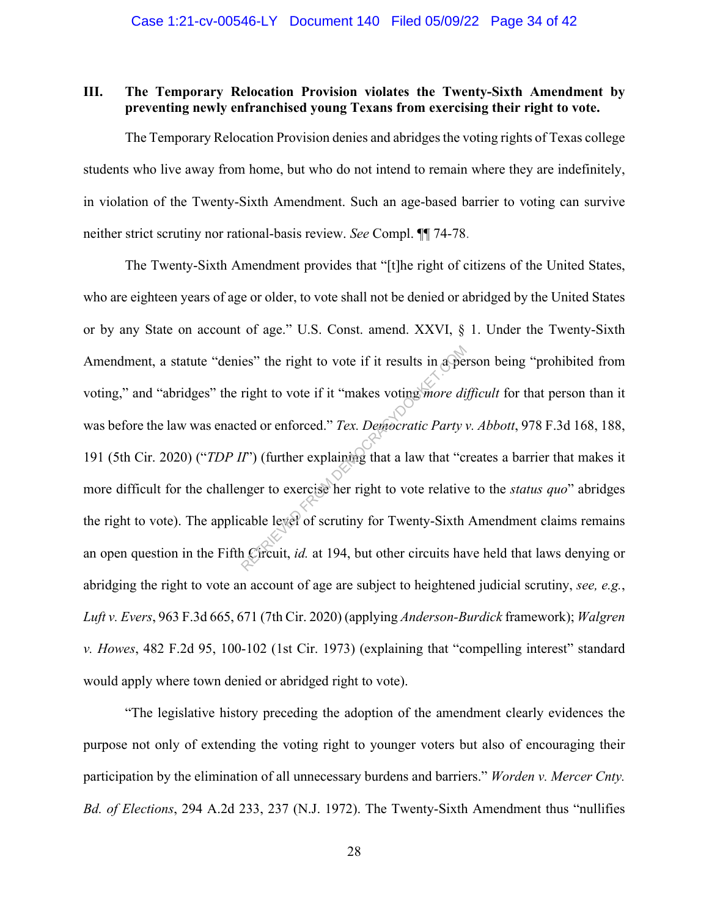## **III. The Temporary Relocation Provision violates the Twenty-Sixth Amendment by preventing newly enfranchised young Texans from exercising their right to vote.**

The Temporary Relocation Provision denies and abridges the voting rights of Texas college students who live away from home, but who do not intend to remain where they are indefinitely, in violation of the Twenty-Sixth Amendment. Such an age-based barrier to voting can survive neither strict scrutiny nor rational-basis review. *See* Compl. ¶¶ 74-78.

The Twenty-Sixth Amendment provides that "[t]he right of citizens of the United States, who are eighteen years of age or older, to vote shall not be denied or abridged by the United States or by any State on account of age." U.S. Const. amend. XXVI, § 1. Under the Twenty-Sixth Amendment, a statute "denies" the right to vote if it results in a person being "prohibited from voting," and "abridges" the right to vote if it "makes voting *more difficult* for that person than it was before the law was enacted or enforced." *Tex. Democratic Party v. Abbott*, 978 F.3d 168, 188, 191 (5th Cir. 2020) ("*TDP II*") (further explaining that a law that "creates a barrier that makes it more difficult for the challenger to exercise her right to vote relative to the *status quo*" abridges the right to vote). The applicable level of scrutiny for Twenty-Sixth Amendment claims remains an open question in the Fifth Circuit, *id.* at 194, but other circuits have held that laws denying or abridging the right to vote an account of age are subject to heightened judicial scrutiny, *see, e.g.*, *Luft v. Evers*, 963 F.3d 665, 671 (7th Cir. 2020) (applying *Anderson-Burdick* framework); *Walgren v. Howes*, 482 F.2d 95, 100-102 (1st Cir. 1973) (explaining that "compelling interest" standard would apply where town denied or abridged right to vote). es" the right to vote if it results in a per<br>right to vote if it "makes voting *more di*<br>ted or enforced." *Tex. Democratic Party*<br>T") (further explaining that a law that "cr<br>nger to exercise her right to vote relative<br>cab

"The legislative history preceding the adoption of the amendment clearly evidences the purpose not only of extending the voting right to younger voters but also of encouraging their participation by the elimination of all unnecessary burdens and barriers." *Worden v. Mercer Cnty. Bd. of Elections*, 294 A.2d 233, 237 (N.J. 1972). The Twenty-Sixth Amendment thus "nullifies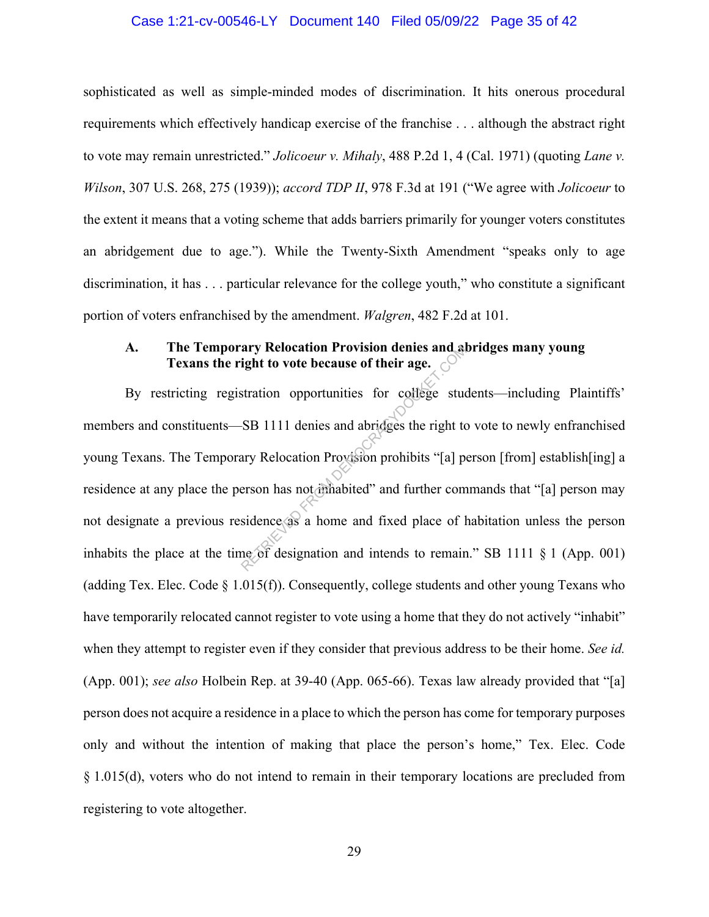### Case 1:21-cv-00546-LY Document 140 Filed 05/09/22 Page 35 of 42

sophisticated as well as simple-minded modes of discrimination. It hits onerous procedural requirements which effectively handicap exercise of the franchise . . . although the abstract right to vote may remain unrestricted." *Jolicoeur v. Mihaly*, 488 P.2d 1, 4 (Cal. 1971) (quoting *Lane v. Wilson*, 307 U.S. 268, 275 (1939)); *accord TDP II*, 978 F.3d at 191 ("We agree with *Jolicoeur* to the extent it means that a voting scheme that adds barriers primarily for younger voters constitutes an abridgement due to age."). While the Twenty-Sixth Amendment "speaks only to age discrimination, it has . . . particular relevance for the college youth," who constitute a significant portion of voters enfranchised by the amendment. *Walgren*, 482 F.2d at 101.

## **A. The Temporary Relocation Provision denies and abridges many young Texans the right to vote because of their age.**  $\int$

By restricting registration opportunities for college students—including Plaintiffs' members and constituents—SB 1111 denies and abridges the right to vote to newly enfranchised young Texans. The Temporary Relocation Provision prohibits "[a] person [from] establish[ing] a residence at any place the person has not inhabited" and further commands that "[a] person may not designate a previous residence as a home and fixed place of habitation unless the person inhabits the place at the time of designation and intends to remain." SB 1111 § 1 (App. 001) (adding Tex. Elec. Code  $\S$  1.015(f)). Consequently, college students and other young Texans who have temporarily relocated cannot register to vote using a home that they do not actively "inhabit" when they attempt to register even if they consider that previous address to be their home. *See id.* (App. 001); *see also* Holbein Rep. at 39-40 (App. 065-66). Texas law already provided that "[a] person does not acquire a residence in a place to which the person has come for temporary purposes only and without the intention of making that place the person's home," Tex. Elec. Code § 1.015(d), voters who do not intend to remain in their temporary locations are precluded from registering to vote altogether. ary Relocation Provision denies and a<br>ight to vote because of their age.<br>stration opportunities for college students.<br>SB 1111 denies and abridges the right to<br>ary Relocation Provision prohibits "[a] person has not diffinab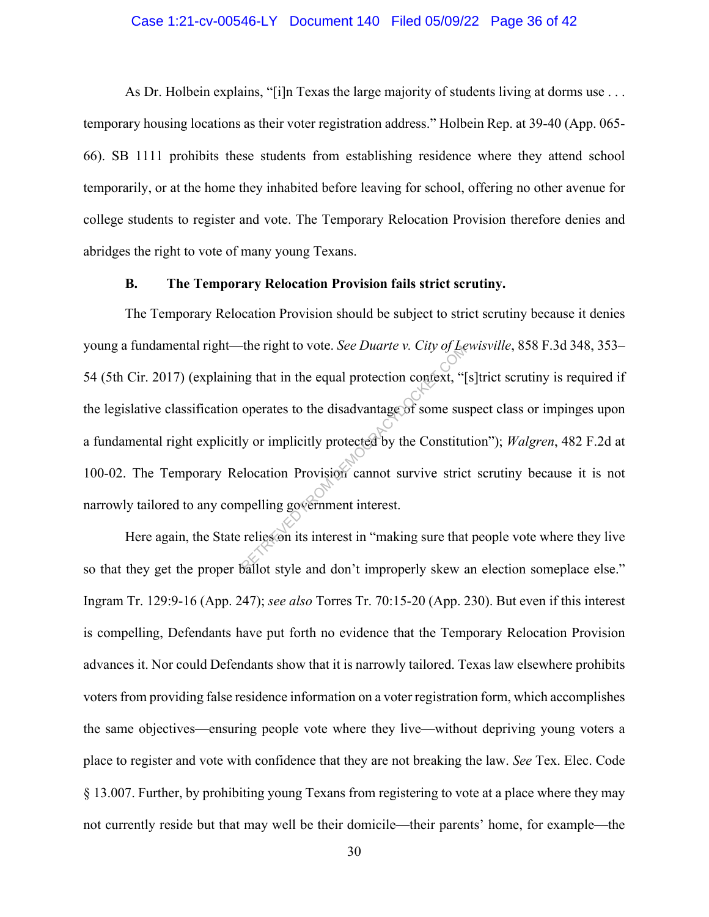### Case 1:21-cv-00546-LY Document 140 Filed 05/09/22 Page 36 of 42

As Dr. Holbein explains, "[i]n Texas the large majority of students living at dorms use ... temporary housing locations as their voter registration address." Holbein Rep. at 39-40 (App. 065- 66). SB 1111 prohibits these students from establishing residence where they attend school temporarily, or at the home they inhabited before leaving for school, offering no other avenue for college students to register and vote. The Temporary Relocation Provision therefore denies and abridges the right to vote of many young Texans.

### **B. The Temporary Relocation Provision fails strict scrutiny.**

 The Temporary Relocation Provision should be subject to strict scrutiny because it denies young a fundamental right—the right to vote. *See Duarte v. City of Lewisville*, 858 F.3d 348, 353– 54 (5th Cir. 2017) (explaining that in the equal protection context, "[s]trict scrutiny is required if the legislative classification operates to the disadvantage of some suspect class or impinges upon a fundamental right explicitly or implicitly protected by the Constitution"); *Walgren*, 482 F.2d at 100-02. The Temporary Relocation Provision cannot survive strict scrutiny because it is not narrowly tailored to any compelling government interest. The right to vote. *See Duarte V. City of Betariev.* City of Betarian September of the disadvantage of some sustain of operates to the disadvantage of some sustainably or implicitly protected by the Constitution electric s

Here again, the State relies on its interest in "making sure that people vote where they live so that they get the proper ballot style and don't improperly skew an election someplace else." Ingram Tr. 129:9-16 (App. 247); *see also* Torres Tr. 70:15-20 (App. 230). But even if this interest is compelling, Defendants have put forth no evidence that the Temporary Relocation Provision advances it. Nor could Defendants show that it is narrowly tailored. Texas law elsewhere prohibits voters from providing false residence information on a voter registration form, which accomplishes the same objectives—ensuring people vote where they live—without depriving young voters a place to register and vote with confidence that they are not breaking the law. *See* Tex. Elec. Code § 13.007. Further, by prohibiting young Texans from registering to vote at a place where they may not currently reside but that may well be their domicile—their parents' home, for example—the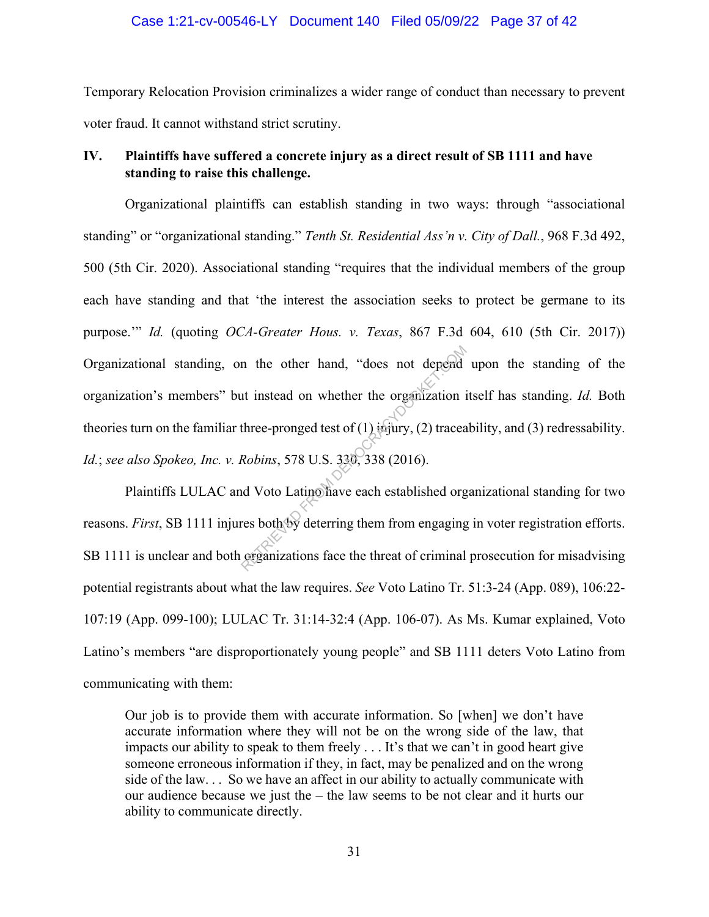### Case 1:21-cv-00546-LY Document 140 Filed 05/09/22 Page 37 of 42

Temporary Relocation Provision criminalizes a wider range of conduct than necessary to prevent voter fraud. It cannot withstand strict scrutiny.

### **IV. Plaintiffs have suffered a concrete injury as a direct result of SB 1111 and have standing to raise this challenge.**

Organizational plaintiffs can establish standing in two ways: through "associational standing" or "organizational standing." *Tenth St. Residential Ass'n v. City of Dall.*, 968 F.3d 492, 500 (5th Cir. 2020). Associational standing "requires that the individual members of the group each have standing and that 'the interest the association seeks to protect be germane to its purpose.'" *Id.* (quoting *OCA-Greater Hous. v. Texas*, 867 F.3d 604, 610 (5th Cir. 2017)) Organizational standing, on the other hand, "does not depend upon the standing of the organization's members" but instead on whether the organization itself has standing. *Id.* Both theories turn on the familiar three-pronged test of  $(1)$  injury,  $(2)$  traceability, and  $(3)$  redressability. *Id.*; *see also Spokeo, Inc. v. Robins*, 578 U.S. 330, 338 (2016). n the other hand, "does not depend<br>at instead on whether the organization is<br>three-pronged test of (1) injury, (2) tracear<br>Robins, 578 U.S. 330, 338 (2016).<br>In Notion Catinoliave each established org<br>res both by deterring

Plaintiffs LULAC and Voto Latino have each established organizational standing for two reasons. *First*, SB 1111 injures both by deterring them from engaging in voter registration efforts. SB 1111 is unclear and both organizations face the threat of criminal prosecution for misadvising potential registrants about what the law requires. *See* Voto Latino Tr. 51:3-24 (App. 089), 106:22- 107:19 (App. 099-100); LULAC Tr. 31:14-32:4 (App. 106-07). As Ms. Kumar explained, Voto Latino's members "are disproportionately young people" and SB 1111 deters Voto Latino from communicating with them:

Our job is to provide them with accurate information. So [when] we don't have accurate information where they will not be on the wrong side of the law, that impacts our ability to speak to them freely . . . It's that we can't in good heart give someone erroneous information if they, in fact, may be penalized and on the wrong side of the law. . . So we have an affect in our ability to actually communicate with our audience because we just the – the law seems to be not clear and it hurts our ability to communicate directly.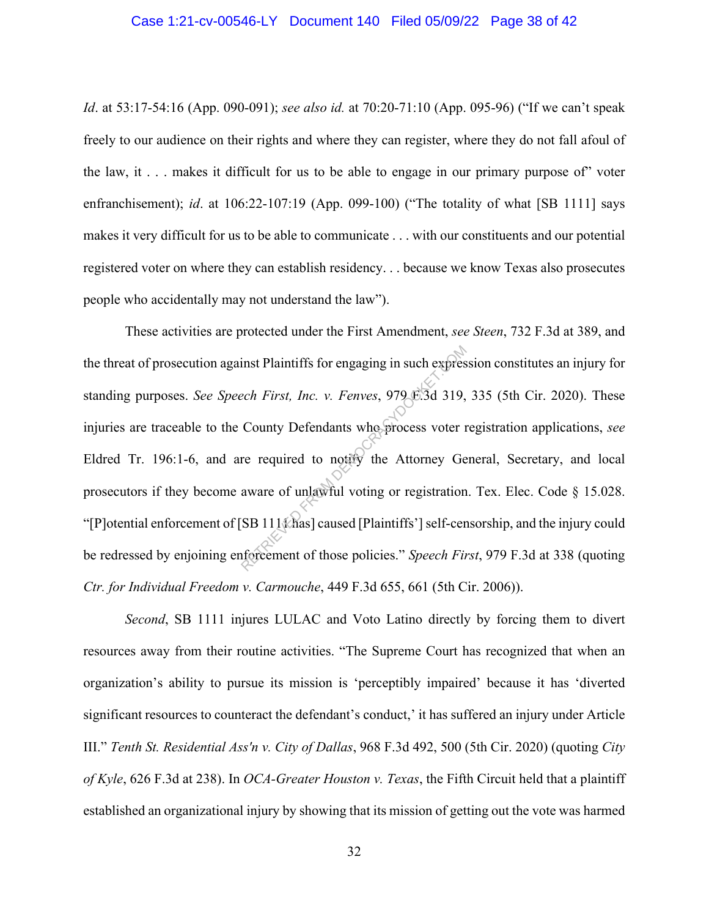### Case 1:21-cv-00546-LY Document 140 Filed 05/09/22 Page 38 of 42

*Id*. at 53:17-54:16 (App. 090-091); *see also id.* at 70:20-71:10 (App. 095-96) ("If we can't speak freely to our audience on their rights and where they can register, where they do not fall afoul of the law, it  $\ldots$  makes it difficult for us to be able to engage in our primary purpose of voter enfranchisement); *id*. at 106:22-107:19 (App. 099-100) ("The totality of what [SB 1111] says makes it very difficult for us to be able to communicate . . . with our constituents and our potential registered voter on where they can establish residency. . . because we know Texas also prosecutes people who accidentally may not understand the law").

These activities are protected under the First Amendment, *see Steen*, 732 F.3d at 389, and the threat of prosecution against Plaintiffs for engaging in such expression constitutes an injury for standing purposes. *See Speech First, Inc. v. Fenves*, 979 F.3d 319, 335 (5th Cir. 2020). These injuries are traceable to the County Defendants who process voter registration applications, *see*  Eldred Tr. 196:1-6, and are required to notify the Attorney General, Secretary, and local prosecutors if they become aware of unlawful voting or registration. Tex. Elec. Code § 15.028. "[P]otential enforcement of [SB 111] has caused [Plaintiffs'] self-censorship, and the injury could be redressed by enjoining enforcement of those policies." *Speech First*, 979 F.3d at 338 (quoting *Ctr. for Individual Freedom v. Carmouche*, 449 F.3d 655, 661 (5th Cir. 2006)). inst Plaintiffs for engaging in such express<br>ech First, Inc. v. Fenves, 979 E.3d 319,<br>County Defendants who process voter r<br>re required to notify the Attorney Ge<br>aware of unlawful voting or registration<br>SB 111{\chases} cau

*Second*, SB 1111 injures LULAC and Voto Latino directly by forcing them to divert resources away from their routine activities. "The Supreme Court has recognized that when an organization's ability to pursue its mission is 'perceptibly impaired' because it has 'diverted significant resources to counteract the defendant's conduct,' it has suffered an injury under Article III." *Tenth St. Residential Ass'n v. City of Dallas*, 968 F.3d 492, 500 (5th Cir. 2020) (quoting *City of Kyle*, 626 F.3d at 238). In *OCA-Greater Houston v. Texas*, the Fifth Circuit held that a plaintiff established an organizational injury by showing that its mission of getting out the vote was harmed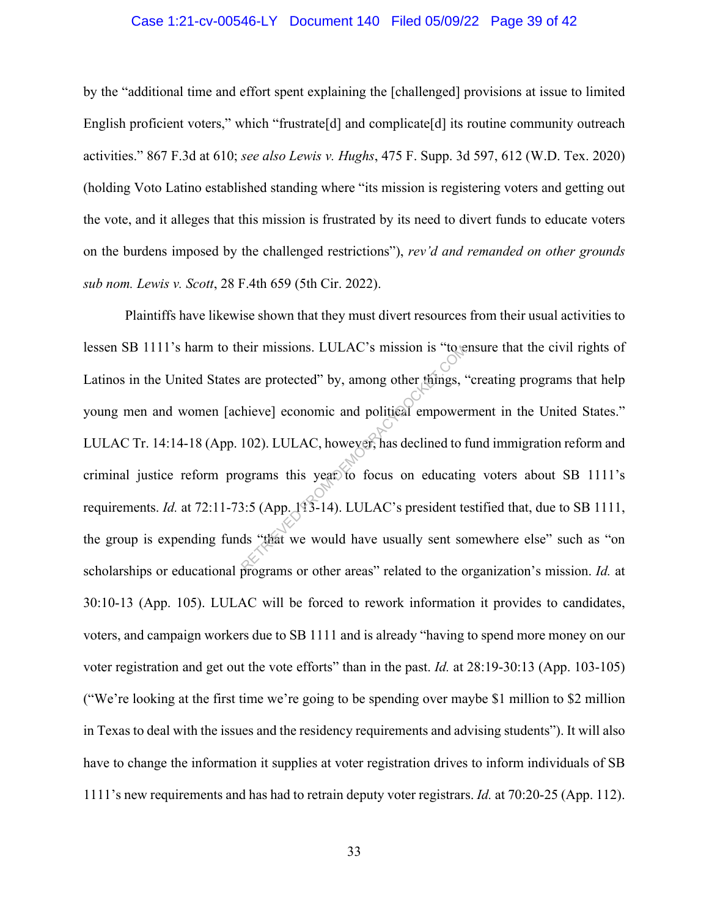### Case 1:21-cv-00546-LY Document 140 Filed 05/09/22 Page 39 of 42

by the "additional time and effort spent explaining the [challenged] provisions at issue to limited English proficient voters," which "frustrate<sup>[d]</sup> and complicate<sup>[d]</sup> its routine community outreach activities." 867 F.3d at 610; *see also Lewis v. Hughs*, 475 F. Supp. 3d 597, 612 (W.D. Tex. 2020) (holding Voto Latino established standing where "its mission is registering voters and getting out the vote, and it alleges that this mission is frustrated by its need to divert funds to educate voters on the burdens imposed by the challenged restrictions"), *rev'd and remanded on other grounds sub nom. Lewis v. Scott*, 28 F.4th 659 (5th Cir. 2022).

Plaintiffs have likewise shown that they must divert resources from their usual activities to lessen SB 1111's harm to their missions. LULAC's mission is "to ensure that the civil rights of Latinos in the United States are protected" by, among other things, "creating programs that help young men and women [achieve] economic and political empowerment in the United States." LULAC Tr. 14:14-18 (App. 102). LULAC, however, has declined to fund immigration reform and criminal justice reform programs this year to focus on educating voters about SB 1111's requirements. *Id.* at 72:11-73:5 (App. 113-14). LULAC's president testified that, due to SB 1111, the group is expending funds "that we would have usually sent somewhere else" such as "on scholarships or educational programs or other areas" related to the organization's mission. *Id.* at 30:10-13 (App. 105). LULAC will be forced to rework information it provides to candidates, voters, and campaign workers due to SB 1111 and is already "having to spend more money on our voter registration and get out the vote efforts" than in the past. *Id.* at 28:19-30:13 (App. 103-105) ("We're looking at the first time we're going to be spending over maybe \$1 million to \$2 million in Texas to deal with the issues and the residency requirements and advising students"). It will also have to change the information it supplies at voter registration drives to inform individuals of SB 1111's new requirements and has had to retrain deputy voter registrars. *Id.* at 70:20-25 (App. 112). Their missions. LULAC's mission is "to all are protected" by, among other things,<br>
hieve] economic and political empower<br>
102). LULAC, however, has declined to 1<br>
begrams this year to focus on educatin<br>
3:5 (App. 113-14).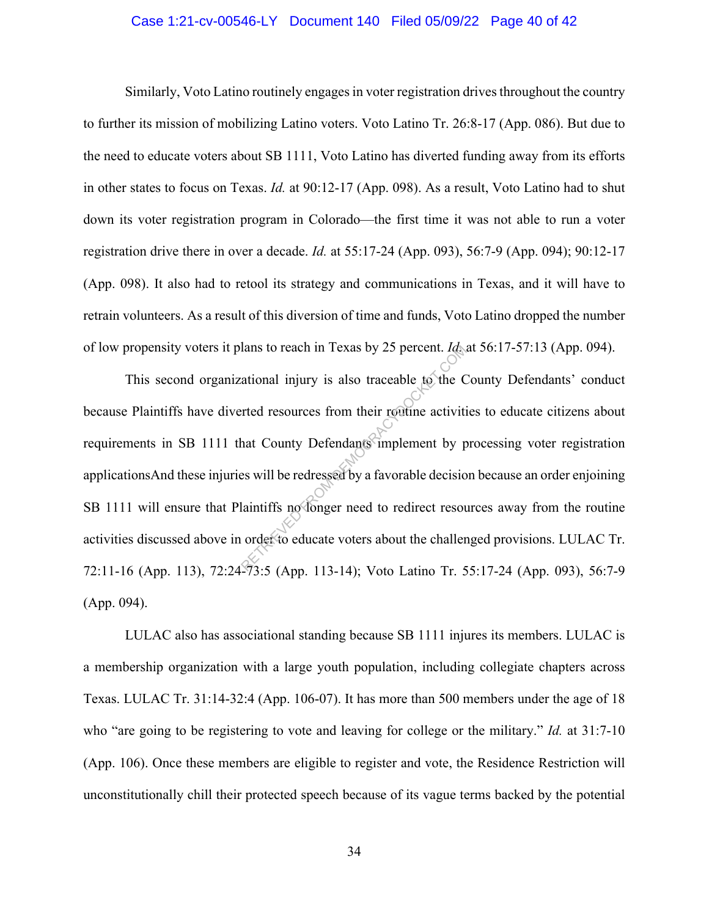### Case 1:21-cv-00546-LY Document 140 Filed 05/09/22 Page 40 of 42

Similarly, Voto Latino routinely engages in voter registration drives throughout the country to further its mission of mobilizing Latino voters. Voto Latino Tr. 26:8-17 (App. 086). But due to the need to educate voters about SB 1111, Voto Latino has diverted funding away from its efforts in other states to focus on Texas. *Id.* at 90:12-17 (App. 098). As a result, Voto Latino had to shut down its voter registration program in Colorado—the first time it was not able to run a voter registration drive there in over a decade. *Id.* at 55:17-24 (App. 093), 56:7-9 (App. 094); 90:12-17 (App. 098). It also had to retool its strategy and communications in Texas, and it will have to retrain volunteers. As a result of this diversion of time and funds, Voto Latino dropped the number of low propensity voters it plans to reach in Texas by 25 percent. *Id.* at 56:17-57:13 (App. 094).

This second organizational injury is also traceable to the County Defendants' conduct because Plaintiffs have diverted resources from their routine activities to educate citizens about requirements in SB 1111 that County Defendants implement by processing voter registration applicationsAnd these injuries will be redressed by a favorable decision because an order enjoining SB 1111 will ensure that Plaintiffs no longer need to redirect resources away from the routine activities discussed above in order to educate voters about the challenged provisions. LULAC Tr. 72:11-16 (App. 113), 72:24-73:5 (App. 113-14); Voto Latino Tr. 55:17-24 (App. 093), 56:7-9 (App. 094). The stational injury is also traceable to the C<br>ational injury is also traceable to the C<br>reted resources from their routine activiti<br>hat County Defendants implement by p<br>es will be redressed by a favorable decision<br>laint

LULAC also has associational standing because SB 1111 injures its members. LULAC is a membership organization with a large youth population, including collegiate chapters across Texas. LULAC Tr. 31:14-32:4 (App. 106-07). It has more than 500 members under the age of 18 who "are going to be registering to vote and leaving for college or the military." *Id.* at 31:7-10 (App. 106). Once these members are eligible to register and vote, the Residence Restriction will unconstitutionally chill their protected speech because of its vague terms backed by the potential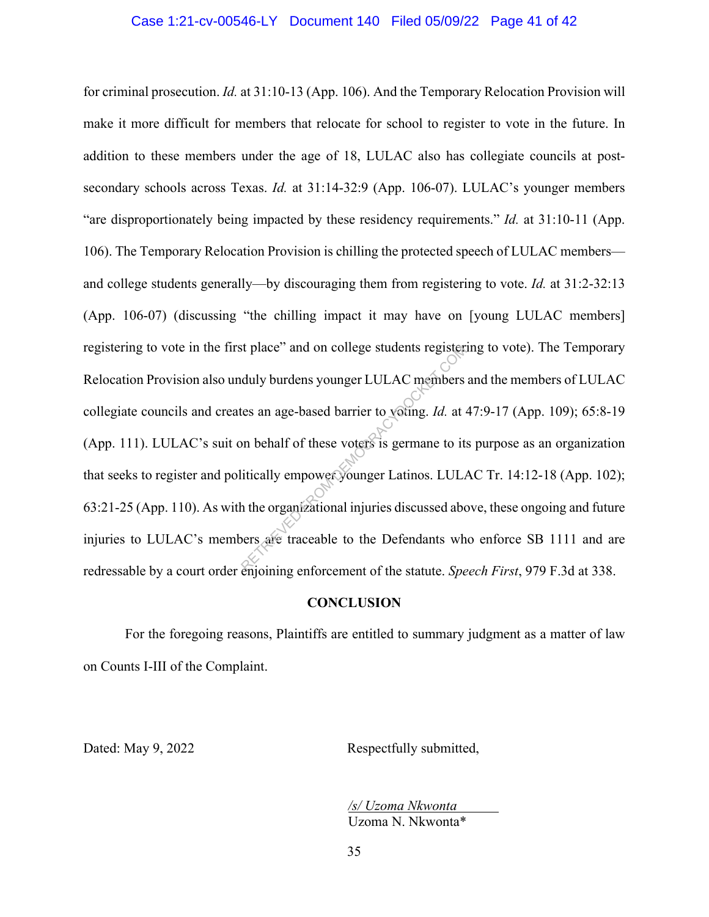for criminal prosecution. *Id.* at 31:10-13 (App. 106). And the Temporary Relocation Provision will make it more difficult for members that relocate for school to register to vote in the future. In addition to these members under the age of 18, LULAC also has collegiate councils at postsecondary schools across Texas. *Id.* at 31:14-32:9 (App. 106-07). LULAC's younger members "are disproportionately being impacted by these residency requirements." *Id.* at 31:10-11 (App. 106). The Temporary Relocation Provision is chilling the protected speech of LULAC members and college students generally—by discouraging them from registering to vote. *Id.* at 31:2-32:13 (App. 106-07) (discussing "the chilling impact it may have on [young LULAC members] registering to vote in the first place" and on college students registering to vote). The Temporary Relocation Provision also unduly burdens younger LULAC members and the members of LULAC collegiate councils and creates an age-based barrier to voting. *Id.* at 47:9-17 (App. 109); 65:8-19 (App. 111). LULAC's suit on behalf of these voters is germane to its purpose as an organization that seeks to register and politically empower younger Latinos. LULAC Tr. 14:12-18 (App. 102); 63:21-25 (App. 110). As with the organizational injuries discussed above, these ongoing and future injuries to LULAC's members are traceable to the Defendants who enforce SB 1111 and are redressable by a court order enjoining enforcement of the statute. *Speech First*, 979 F.3d at 338. It place" and on college students register<br>duly burdens younger LULAC members<br>tes an age-based barrier to young. Id. at on<br>behalf of these voters is germane to it:<br>itically empower younger Latinos. LULA<br>h the organizationa

#### **CONCLUSION**

For the foregoing reasons, Plaintiffs are entitled to summary judgment as a matter of law on Counts I-III of the Complaint.

Dated: May 9, 2022 Respectfully submitted,

*/s/ Uzoma Nkwonta*  Uzoma N. Nkwonta\*